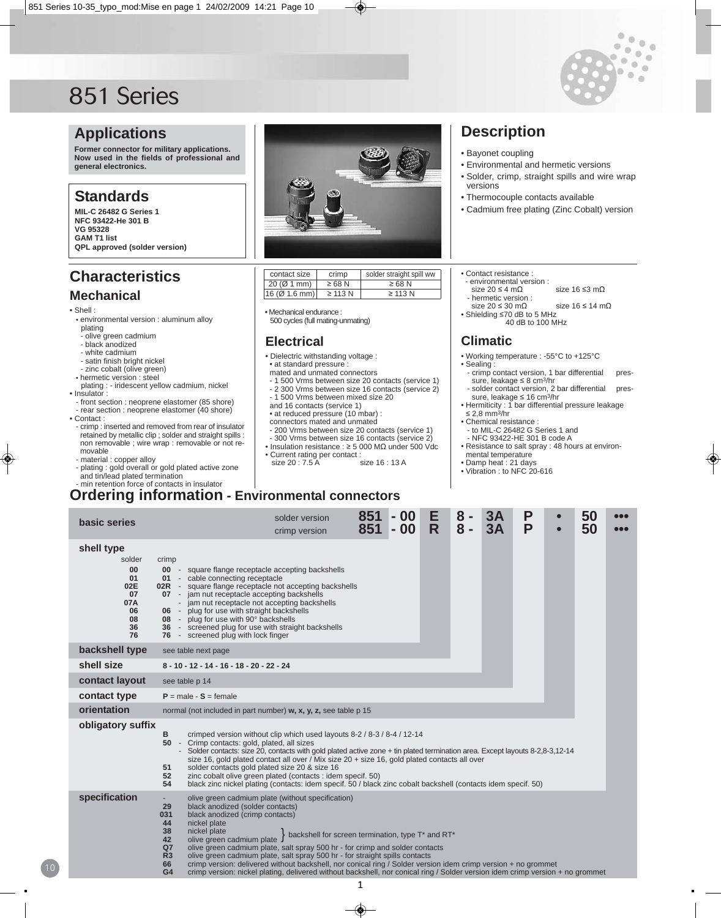

# **Applications**

**Former connector for military applications. Now used in the fields of professional and general electronics.**

## **Standards**

**MIL-C 26482 G Series 1 NFC 93422-He 301 B VG 95328 GAM T1 list QPL approved (solder version)**

# **Characteristics**

## **Mechanical**

#### • Shell :

- environmental version : aluminum alloy
- plating - olive green cadmium
- black anodized
- white cadmium
- satin finish bright nickel
- zinc cobalt (olive green)
- hermetic version : steel
- plating : iridescent yellow cadmium, nickel • Insulator :
- front section : neoprene elastomer (85 shore) - rear section : neoprene elastomer (40 shore)
- Contact :
- crimp : inserted and removed from rear of insulator retained by metallic clip ; solder and straight spills : non removable ; wire wrap : removable or not removable - material : copper alloy
- 
- plating : gold overall or gold plated active zone and tin/lead plated termination



| contact size  | crimp        | solder straight spill ww |
|---------------|--------------|--------------------------|
| 20 (Ø 1 mm)   | $\geq 68$ N  | $\geq$ 68 N              |
| 16 (Ø 1.6 mm) | $\geq$ 113 N | $\geq$ 113 N             |

• Mechanical endurance :

500 cycles (full mating-unmating)

#### **Electrical**

• Dielectric withstanding voltage :

• at standard pressure

- mated and unmated connectors
- 1 500 Vrms between size 20 contacts (service 1)
- 2 300 Vrms between size 16 contacts (service 2) - 1 500 Vrms between mixed size 20
- and 16 contacts (service 1)
- at reduced pressure (10 mbar) :
- connectors mated and unmated
- 200 Vrms between size 20 contacts (service 1) 300 Vrms between size 16 contacts (service 2)
- Insulation resistance : ≥ 5 000 MΩ under 500 Vdc
- Current rating per contact :<br>size 20 : 7.5 A size 16 : 13 A size 20 : 7.5 A
- min retention force of contacts in insulator

# **Ordering information - Environmental connectors**

| basic series                                                                 |                                                                                                                                                                                                                                                                                                                                                                                                                                                                                                                                                                                                                     | solder version<br>crimp version                                                                                                                                                                                                                                                                                                                                                        | 851<br>851 | $-00$<br>$-00$ | E<br>R | 8<br>$8 -$ | 3A<br>3A | P<br>P |  | 50<br>50 | 000<br>000 |
|------------------------------------------------------------------------------|---------------------------------------------------------------------------------------------------------------------------------------------------------------------------------------------------------------------------------------------------------------------------------------------------------------------------------------------------------------------------------------------------------------------------------------------------------------------------------------------------------------------------------------------------------------------------------------------------------------------|----------------------------------------------------------------------------------------------------------------------------------------------------------------------------------------------------------------------------------------------------------------------------------------------------------------------------------------------------------------------------------------|------------|----------------|--------|------------|----------|--------|--|----------|------------|
| shell type<br>solder<br>00<br>01<br>02E<br>07<br>07A<br>06<br>08<br>36<br>76 | crimp<br>00 - square flange receptacle accepting backshells<br>01 - cable connecting receptacle<br><b>02R</b> - square flange receptacle not accepting backshells<br>07 - jam nut receptacle accepting backshells<br>- jam nut receptacle not accepting backshells<br>06 - plug for use with straight backshells<br>08 - plug for use with 90° backshells<br>36 - screened plug for use with straight backshells<br>76 - screened plug with lock finger                                                                                                                                                             |                                                                                                                                                                                                                                                                                                                                                                                        |            |                |        |            |          |        |  |          |            |
| backshell type                                                               | see table next page                                                                                                                                                                                                                                                                                                                                                                                                                                                                                                                                                                                                 |                                                                                                                                                                                                                                                                                                                                                                                        |            |                |        |            |          |        |  |          |            |
| shell size                                                                   | 8 - 10 - 12 - 14 - 16 - 18 - 20 - 22 - 24                                                                                                                                                                                                                                                                                                                                                                                                                                                                                                                                                                           |                                                                                                                                                                                                                                                                                                                                                                                        |            |                |        |            |          |        |  |          |            |
| contact layout                                                               | see table p 14                                                                                                                                                                                                                                                                                                                                                                                                                                                                                                                                                                                                      |                                                                                                                                                                                                                                                                                                                                                                                        |            |                |        |            |          |        |  |          |            |
| contact type                                                                 | $P = male - S = female$                                                                                                                                                                                                                                                                                                                                                                                                                                                                                                                                                                                             |                                                                                                                                                                                                                                                                                                                                                                                        |            |                |        |            |          |        |  |          |            |
| orientation                                                                  | normal (not included in part number) w, x, y, z, see table p 15                                                                                                                                                                                                                                                                                                                                                                                                                                                                                                                                                     |                                                                                                                                                                                                                                                                                                                                                                                        |            |                |        |            |          |        |  |          |            |
| obligatory suffix                                                            | в<br>crimped version without clip which used layouts 8-2 / 8-3 / 8-4 / 12-14<br>50<br>- Crimp contacts: gold, plated, all sizes<br>- Solder contacts: size 20, contacts with gold plated active zone + tin plated termination area. Except layouts 8-2,8-3,12-14<br>size 16, gold plated contact all over / Mix size 20 + size 16, gold plated contacts all over<br>solder contacts gold plated size 20 & size 16<br>51<br>52<br>zinc cobalt olive green plated (contacts : idem specif. 50)<br>54<br>black zinc nickel plating (contacts: idem specif. 50 / black zinc cobalt backshell (contacts idem specif. 50) |                                                                                                                                                                                                                                                                                                                                                                                        |            |                |        |            |          |        |  |          |            |
| specification                                                                | $\sim$<br>29<br>black anodized (solder contacts)<br>black anodized (crimp contacts)<br>031<br>44<br>nickel plate<br>38<br>nickel plate<br>42<br>olive green cadmium plate<br>Q <sub>7</sub><br>R <sub>3</sub><br>66                                                                                                                                                                                                                                                                                                                                                                                                 | olive green cadmium plate (without specification)<br>backshell for screen termination, type T* and RT*<br>olive green cadmium plate, salt spray 500 hr - for crimp and solder contacts<br>olive green cadmium plate, salt spray 500 hr - for straight spills contacts<br>crimp version: delivered without backshell, nor conical ring / Solder version idem crimp version + no grommet |            |                |        |            |          |        |  |          |            |

• Thermocouple contacts available • Cadmium free plating (Zinc Cobalt) version

versions

• Contact resistance :

**Description**

• Bayonet coupling

- environmental version : size 20 ≤ 4 mΩ size 16 ≤3 mΩ - hermetic version :

• Environmental and hermetic versions • Solder, crimp, straight spills and wire wrap

- size 20 ≤ 30 mΩ size 16 ≤ 14 mΩ
- Shielding ≤70 dB to 5 MHz 40 dB to 100 MHz

# **Climatic**

- Working temperature : -55°C to +125°C • Sealing :
	- crimp contact version, 1 bar differential pressure, leakage ≤ 8 cm3/hr
- solder contact version, 2 bar differential pressure, leakage ≤ 16 cm3/hr
- Hermiticity : 1 bar differential pressure leakage ≤ 2,8 mm3/hr
- Chemical resistance :
- to MIL-C 26482 G Series 1 and - NFC 93422-HE 301 B code A
- Resistance to salt spray : 48 hours at environmental temperature
- Damp heat : 21 days
- Vibration : to NFC 20-616

10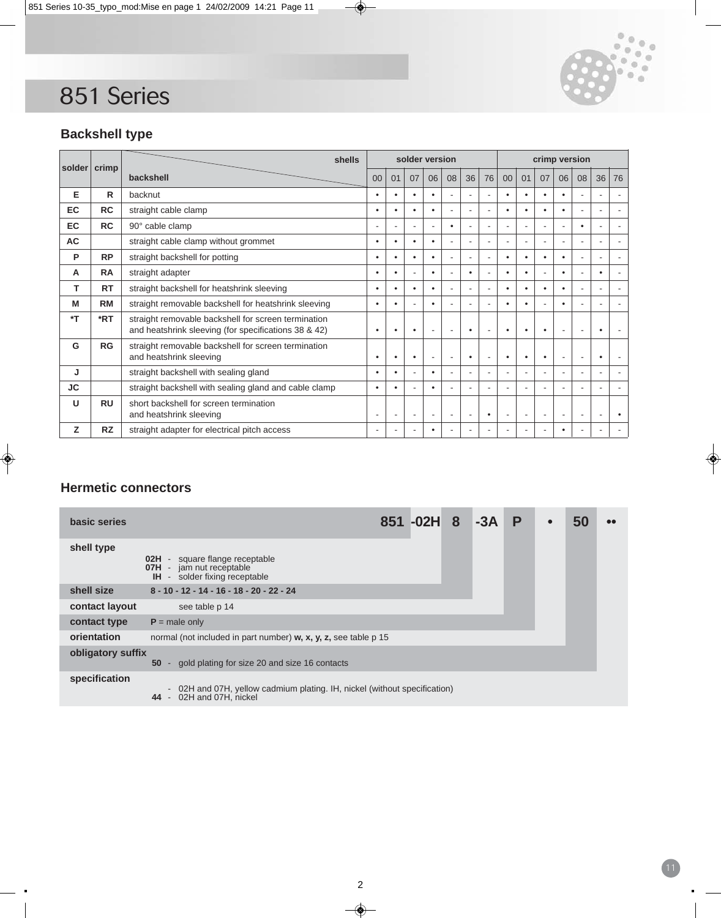

11

# **Backshell type**

| solder         | crimp        | shells                                                                                                      |                |                          |                          | solder version |                          |                          |                          | crimp version  |           |                          |                          |                          |                          |           |  |  |
|----------------|--------------|-------------------------------------------------------------------------------------------------------------|----------------|--------------------------|--------------------------|----------------|--------------------------|--------------------------|--------------------------|----------------|-----------|--------------------------|--------------------------|--------------------------|--------------------------|-----------|--|--|
|                |              | backshell                                                                                                   | 0 <sup>0</sup> | 01                       | 07                       | 06             | 08                       | 36                       | 76                       | 00             | 01        | 07                       | 06                       | 08                       | 36                       | 76        |  |  |
| Е              | $\mathsf{R}$ | backnut                                                                                                     |                | $\bullet$                |                          | $\bullet$      |                          |                          | ÷.                       |                | $\bullet$ |                          | $\bullet$                |                          |                          |           |  |  |
| <b>EC</b>      | <b>RC</b>    | straight cable clamp                                                                                        | ٠              | ٠                        | $\bullet$                | $\bullet$      | $\overline{\phantom{a}}$ | ÷                        | ÷.                       | $\bullet$      | $\bullet$ |                          | $\bullet$                | ۰                        | $\overline{\phantom{a}}$ |           |  |  |
| EC             | <b>RC</b>    | 90° cable clamp                                                                                             |                | $\sim$                   |                          | ÷.             | $\bullet$                |                          | $\sim$                   | $\overline{a}$ | $\sim$    |                          | $\overline{a}$           | $\bullet$                | ÷.                       |           |  |  |
| <b>AC</b>      |              | straight cable clamp without grommet                                                                        | ٠              | ٠                        | $\bullet$                | $\bullet$      | $\blacksquare$           | ٠                        | $\blacksquare$           | $\overline{a}$ | $\sim$    |                          | $\overline{\phantom{a}}$ | $\overline{\phantom{a}}$ | $\overline{\phantom{a}}$ |           |  |  |
| P              | <b>RP</b>    | straight backshell for potting                                                                              | ٠              | ٠                        | $\bullet$                | $\bullet$      | $\overline{\phantom{a}}$ |                          | $\overline{\phantom{a}}$ | ٠              | $\bullet$ | ٠                        | $\bullet$                | ۰                        | $\overline{\phantom{a}}$ |           |  |  |
| А              | <b>RA</b>    | straight adapter                                                                                            | ٠              | ٠                        |                          | $\bullet$      | $\sim$                   | $\bullet$                | $\sim$                   | $\bullet$      | $\bullet$ |                          | $\bullet$                |                          | $\bullet$                |           |  |  |
| т              | <b>RT</b>    | straight backshell for heatshrink sleeving                                                                  | ٠              | ٠                        | $\bullet$                | $\bullet$      | $\blacksquare$           | ٠                        | $\sim$                   | $\bullet$      | $\bullet$ |                          | $\bullet$                |                          | $\overline{\phantom{a}}$ |           |  |  |
| M              | <b>RM</b>    | straight removable backshell for heatshrink sleeving                                                        | ٠              | ٠                        |                          | $\bullet$      |                          |                          | $\sim$                   | $\bullet$      | $\bullet$ |                          | $\bullet$                |                          | $\overline{\phantom{a}}$ |           |  |  |
| $\mathbf{r}^*$ | *RT          | straight removable backshell for screen termination<br>and heatshrink sleeving (for specifications 38 & 42) | ٠              | ٠                        | $\bullet$                | ÷              | $\overline{\phantom{a}}$ | $\bullet$                | $\sim$                   |                | $\bullet$ |                          | $\blacksquare$           |                          | $\bullet$                |           |  |  |
| G              | <b>RG</b>    | straight removable backshell for screen termination<br>and heatshrink sleeving                              |                | ٠                        | $\bullet$                | ٠              | $\blacksquare$           | ٠                        | $\sim$                   |                | $\bullet$ |                          | $\blacksquare$           | $\overline{\phantom{a}}$ | $\bullet$                |           |  |  |
| J              |              | straight backshell with sealing gland                                                                       | ٠              | ٠                        | $\sim$                   | $\bullet$      | $\overline{\phantom{a}}$ | $\overline{\phantom{a}}$ | $\blacksquare$           | ٠              | $\sim$    |                          | $\blacksquare$           | $\overline{\phantom{a}}$ | $\overline{\phantom{a}}$ |           |  |  |
| <b>JC</b>      |              | straight backshell with sealing gland and cable clamp                                                       | ٠              | ٠                        |                          | $\bullet$      |                          |                          | $\overline{\phantom{a}}$ | $\equiv$       | ÷         |                          | ٠                        | ٠                        | ÷                        |           |  |  |
| U              | <b>RU</b>    | short backshell for screen termination<br>and heatshrink sleeving                                           | -              | $\overline{\phantom{a}}$ | $\overline{\phantom{a}}$ | ٠              | $\overline{\phantom{a}}$ | ٠                        | $\bullet$                | $\overline{a}$ | ۰.        | ٠                        | $\blacksquare$           | $\overline{\phantom{a}}$ | ÷                        | $\bullet$ |  |  |
| z              | <b>RZ</b>    | straight adapter for electrical pitch access                                                                | ۰              | ۰                        | ۰                        | ٠              |                          |                          | ٠                        | ٠              | ٠.        | $\overline{\phantom{a}}$ | ٠                        | -                        | -                        |           |  |  |

## **Hermetic connectors**

| basic series      |                                                                                                              | 851 - 02H | 8 | $-3A$ | P | $\bullet$ | 50 | 68 |
|-------------------|--------------------------------------------------------------------------------------------------------------|-----------|---|-------|---|-----------|----|----|
| shell type        | - square flange receptable<br>02H<br><b>07H</b> - jam nut receptable<br><b>IH</b> - solder fixing receptable |           |   |       |   |           |    |    |
| shell size        | 8 - 10 - 12 - 14 - 16 - 18 - 20 - 22 - 24                                                                    |           |   |       |   |           |    |    |
| contact layout    | see table p 14                                                                                               |           |   |       |   |           |    |    |
| contact type      | $P =$ male only                                                                                              |           |   |       |   |           |    |    |
| orientation       | normal (not included in part number) w, x, y, z, see table p 15                                              |           |   |       |   |           |    |    |
| obligatory suffix | gold plating for size 20 and size 16 contacts<br>50<br>$\sim$                                                |           |   |       |   |           |    |    |
| specification     | - 02H and 07H, yellow cadmium plating. IH, nickel (without specification)<br>44 - 02H and 07H, nickel        |           |   |       |   |           |    |    |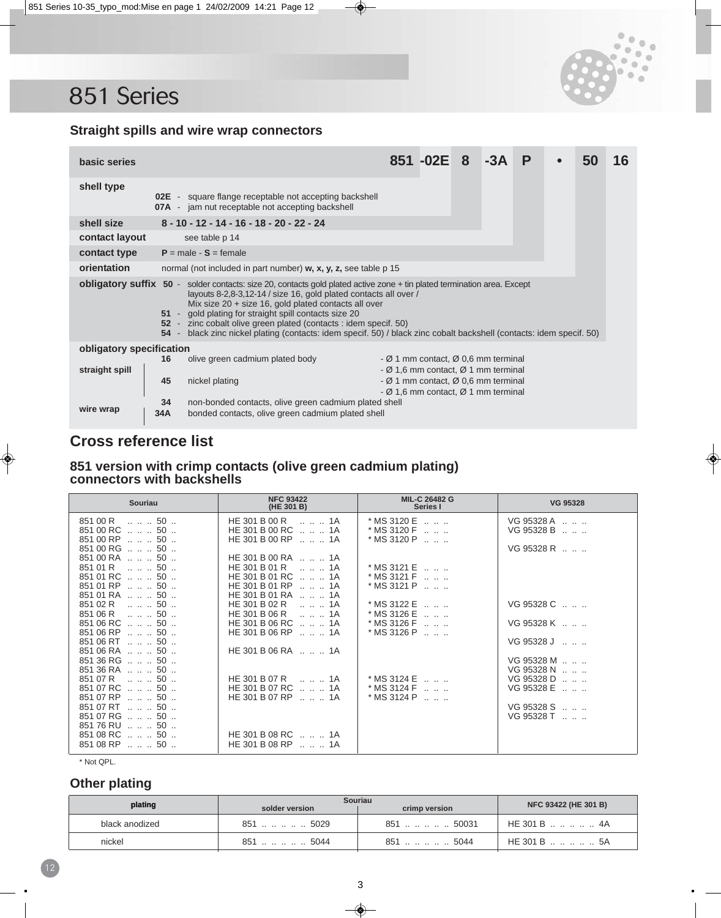



### **Straight spills and wire wrap connectors**

| basic series                                                                                                                                                                                                                                                                                                                                                                                                                                                                                                       |           |                                                                                                                          |                                                                                                                                                                   | 851 - 02E 8 |  |  |  |  |  | 16 |
|--------------------------------------------------------------------------------------------------------------------------------------------------------------------------------------------------------------------------------------------------------------------------------------------------------------------------------------------------------------------------------------------------------------------------------------------------------------------------------------------------------------------|-----------|--------------------------------------------------------------------------------------------------------------------------|-------------------------------------------------------------------------------------------------------------------------------------------------------------------|-------------|--|--|--|--|--|----|
| shell type                                                                                                                                                                                                                                                                                                                                                                                                                                                                                                         |           | <b>02E</b> - square flange receptable not accepting backshell<br><b>07A</b> - jam nut receptable not accepting backshell |                                                                                                                                                                   |             |  |  |  |  |  |    |
| shell size                                                                                                                                                                                                                                                                                                                                                                                                                                                                                                         |           | 8 - 10 - 12 - 14 - 16 - 18 - 20 - 22 - 24                                                                                |                                                                                                                                                                   |             |  |  |  |  |  |    |
| contact layout                                                                                                                                                                                                                                                                                                                                                                                                                                                                                                     |           | see table p 14                                                                                                           |                                                                                                                                                                   |             |  |  |  |  |  |    |
| contact type                                                                                                                                                                                                                                                                                                                                                                                                                                                                                                       |           | $P = male - S = female$                                                                                                  |                                                                                                                                                                   |             |  |  |  |  |  |    |
| orientation<br>normal (not included in part number) w, x, y, z, see table p 15                                                                                                                                                                                                                                                                                                                                                                                                                                     |           |                                                                                                                          |                                                                                                                                                                   |             |  |  |  |  |  |    |
| <b>obligatory suffix 50</b> - solder contacts: size 20, contacts gold plated active zone + tin plated termination area. Except<br>layouts 8-2,8-3,12-14 / size 16, gold plated contacts all over /<br>Mix size $20 + size 16$ , gold plated contacts all over<br>51 - gold plating for straight spill contacts size 20<br>52 - zinc cobalt olive green plated (contacts : idem specif. 50)<br>54 - black zinc nickel plating (contacts: idem specif. 50) / black zinc cobalt backshell (contacts: idem specif. 50) |           |                                                                                                                          |                                                                                                                                                                   |             |  |  |  |  |  |    |
| obligatory specification                                                                                                                                                                                                                                                                                                                                                                                                                                                                                           |           |                                                                                                                          |                                                                                                                                                                   |             |  |  |  |  |  |    |
| straight spill                                                                                                                                                                                                                                                                                                                                                                                                                                                                                                     | 16<br>45  | olive green cadmium plated body<br>nickel plating                                                                        | - Ø 1 mm contact, Ø 0,6 mm terminal<br>- $\varnothing$ 1,6 mm contact, $\varnothing$ 1 mm terminal<br>- $\varnothing$ 1 mm contact, $\varnothing$ 0,6 mm terminal |             |  |  |  |  |  |    |
| wire wrap                                                                                                                                                                                                                                                                                                                                                                                                                                                                                                          | 34<br>34A | non-bonded contacts, olive green cadmium plated shell<br>bonded contacts, olive green cadmium plated shell               | - $\varnothing$ 1,6 mm contact, $\varnothing$ 1 mm terminal                                                                                                       |             |  |  |  |  |  |    |

# **Cross reference list**

#### **851 version with crimp contacts (olive green cadmium plating) connectors with backshells**

| <b>Souriau</b>                           | <b>NFC 93422</b><br>(HE 301 B)                 | <b>MIL-C 26482 G</b><br>Series I                                   | <b>VG 95328</b>                              |
|------------------------------------------|------------------------------------------------|--------------------------------------------------------------------|----------------------------------------------|
| $85100 R$ $\therefore$ 50                | HE 301 B 00 R<br>1A                            | $*$ MS 3120 E $\dots$ $\dots$                                      | VG95328A                                     |
| $85100 \text{ RC}$ 50                    | HE 301 B 00 RC   1A                            | $*$ MS 3120 F $\ldots$ $\ldots$                                    | VG 95328 B                                   |
| 851 00 RP    50                          | HE 301 B 00 RP   . 1A                          | $*$ MS 3120 P $\ldots$ $\ldots$                                    |                                              |
| $85100 \text{ RG}$ 50                    |                                                |                                                                    | $VG95328 R$                                  |
| 851 00 RA   50                           | HE 301 B 00 RA   1A                            |                                                                    |                                              |
| 851 01 R   50                            | HE 301 B 01 R   1A                             | $*$ MS 3121 E $\ldots$ $\ldots$                                    |                                              |
| $85101$ RC $\ldots$ $\ldots$ 50 $\ldots$ | HE 301 B 01 RC   . 1A<br>HE 301 B 01 RP   . 1A | $*$ MS 3121 F $\ldots$ $\ldots$                                    |                                              |
| 851 01 RP    50<br>851 01 RA   50        | HE 301 B 01 RA   . 1A                          | $*$ MS 3121 P $\ldots$ $\ldots$                                    |                                              |
| $85102R$ 50                              | HE 301 B 02 R<br>1A                            | $*$ MS 3122 E $\ldots$ $\ldots$                                    | $VG95328 C$                                  |
| $85106 R$ 50                             | HE 301 B 06 R<br>1A                            | $*$ MS 3126 E $\ldots$ $\ldots$                                    |                                              |
| 851 06 RC   50                           | HE 301 B 06 RC   1A                            | $*$ MS 3126 F $\ldots$ $\ldots$                                    | VG 95328 K                                   |
| $85106$ RP $\ldots$ $\ldots$ 50 $\ldots$ | HE 301 B 06 RP  . 1A                           | $*$ MS 3126 P $\ldots$ $\ldots$                                    |                                              |
| $85106$ RT $\dots$ $\dots$ 50 $\dots$    |                                                |                                                                    | VG95328J                                     |
| 851 06 RA   50                           | HE 301 B 06 RA $\ldots$ $\ldots$ 1A            |                                                                    |                                              |
| 851 36 RG   50                           |                                                |                                                                    | VG95328 M                                    |
| $85136RA$ 50                             |                                                |                                                                    | VG 95328 N                                   |
| $85107 R$ 50<br>851 07 RC   50           | HE 301 B 07 R  . 1A<br>HE 301 B 07 RC   1A     | $*$ MS 3124 E $\ldots$ $\ldots$<br>$*$ MS 3124 F $\ldots$ $\ldots$ | VG 95328 D<br>$VG$ 95328 E $\ldots$ $\ldots$ |
| 851 07 RP   50                           | HE 301 B 07 RP   1A                            | $*$ MS 3124 P $\ldots$ $\ldots$                                    |                                              |
| 851 07 RT   50                           |                                                |                                                                    | VG 95328 S                                   |
| 851 07 RG  50                            |                                                |                                                                    | VG 95328 T                                   |
| 851 76 RU   50                           |                                                |                                                                    |                                              |
| 851 08 RC   50                           | HE 301 B 08 RC   . 1A                          |                                                                    |                                              |
| $85108$ RP $\ldots$ $\ldots$ 50 $\ldots$ | HE 301 B 08 RP $\ldots$ $\ldots$ 1A            |                                                                    |                                              |

\* Not QPL.

## **Other plating**

| Other plating  |                |                                 |                      |
|----------------|----------------|---------------------------------|----------------------|
| plating        | solder version | <b>Souriau</b><br>crimp version | NFC 93422 (HE 301 B) |
| black anodized | 851    5029    | 851     50031                   | HE 301 B    4A       |
| nickel         | 851  5044      | 851  5044                       | HE 301 B    5A       |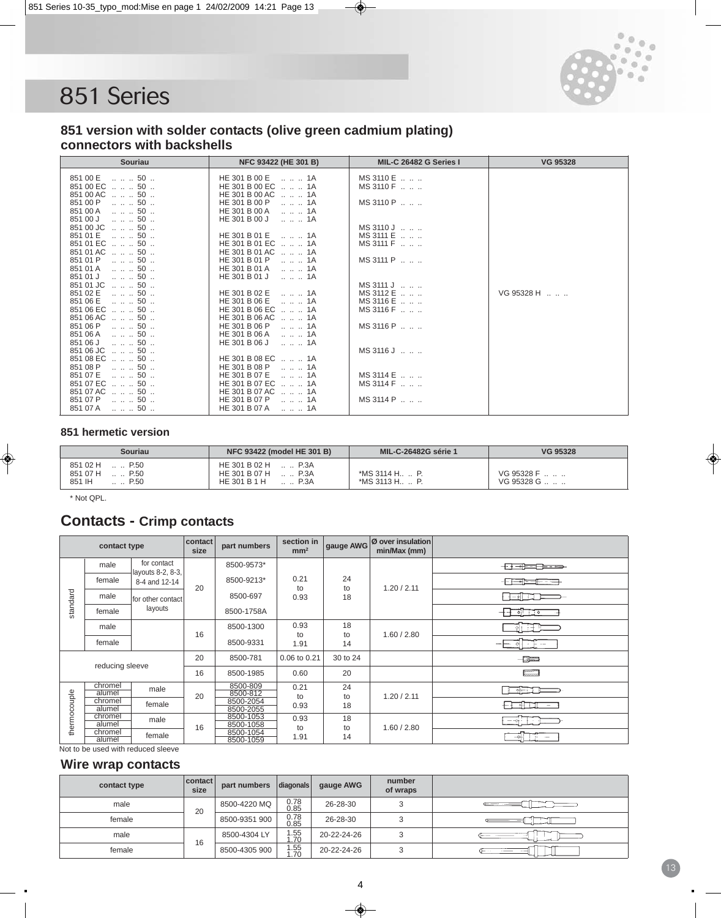

#### **851 version with solder contacts (olive green cadmium plating) connectors with backshells**

| <b>Souriau</b>                                                | NFC 93422 (HE 301 B)                         | MIL-C 26482 G Series I        | <b>VG 95328</b> |
|---------------------------------------------------------------|----------------------------------------------|-------------------------------|-----------------|
| 851 00 E<br>50                                                | HE 301 B 00 E<br>1A                          | MS 3110 E                     |                 |
| 851 00 EC<br>$\ldots$ $\ldots$ 50 $\ldots$<br>851 00 AC<br>50 | HE 301 B 00 EC   1A<br>HE 301 B 00 AC<br>1A  | MS 3110 F                     |                 |
| 851 00 P<br>50                                                | HE 301 B 00 P<br>1A                          | MS 3110 P                     |                 |
| 50<br>851 00 A<br>851 00 J<br>$\ldots$ $\ldots$ 50 $\ldots$   | HE 301 B 00 A<br>1A<br>HE 301 B 00 J<br>1A   |                               |                 |
| 851 00 JC<br>50                                               |                                              | MS 3110 J                     |                 |
| 851 01 E<br>. 50 .                                            | HE 301 B 01 E<br>1A                          | MS 3111 E                     |                 |
| 851 01 EC    50<br>851 01 AC   50                             | HE 301 B 01 EC   . 1A<br>HE 301 B 01 AC   1A | $MS$ 3111 F $\ldots$ $\ldots$ |                 |
| 851 01 P<br>50                                                | HE 301 B 01 P<br>1A                          | MS 3111 P                     |                 |
| 851 01 A<br>50                                                | HE 301 B 01 A<br>1A                          |                               |                 |
| 851 01 J<br>50<br>851 01 JC<br>50                             | HE 301 B 01 J<br>1A                          | MS 3111 J                     |                 |
| 851 02 E<br>50                                                | HE 301 B 02 E<br>1A                          | MS 3112 E                     | VG95328 H       |
| 851 06 E<br>$\ldots \ldots 50$<br>851 06 EC    50             | HE 301 B 06 E<br>1A<br>HE 301 B 06 EC   1A   | MS 3116 E<br>MS 3116 F        |                 |
| 851 06 AC  . 50                                               | HE 301 B 06 AC<br>1A                         |                               |                 |
| 851 06 P<br>50                                                | HE 301 B 06 P<br>1A                          | MS 3116 P                     |                 |
| 851 06 A<br>50<br>50<br>851 06 J                              | HE 301 B 06 A<br>1A<br>HE 301 B 06 J<br>1A   |                               |                 |
| 851 06 JC<br>50                                               |                                              | MS 3116 J  .                  |                 |
| 851 08 EC   50                                                | HE 301 B 08 EC  . 1A                         |                               |                 |
| 851 08 P<br>50<br>851 07 E<br>$\ldots$ $\ldots$ 50 $\ldots$   | HE 301 B 08 P<br>1A<br>HE 301 B 07 E<br>1A   | MS 3114 E                     |                 |
| 851 07 EC   50                                                | HE 301 B 07 EC   . 1A                        | MS 3114 F                     |                 |
| 851 07 AC<br>50<br>851 07 P<br>50                             | HE 301 B 07 AC<br>1A<br>HE 301 B 07 P<br>1A  | MS 3114 P                     |                 |
| 851 07 A<br>. 50 .                                            | HE 301 B 07 A  1A                            |                               |                 |

#### **851 hermetic version**

| Souriau                                                         | <b>NFC 93422 (model HE 301 B)</b>                                   | <b>MIL-C-26482G série 1</b>         | VG 95328                |
|-----------------------------------------------------------------|---------------------------------------------------------------------|-------------------------------------|-------------------------|
| 851 02 H  P.50<br>851 07 H  P.50<br>851 IH<br>$\therefore$ P.50 | $HE 301 B 02 H$ P.3A<br>HE 301 B 07 H  P.3A<br>P.3A<br>HE 301 B 1 H | $*MS$ 3114 H  P.<br>$*MS$ 3113 H P. | VG 95328 F<br>VG95328 G |

\* Not QPL.

# **Contacts - Crimp contacts**

|              | contact type                           |                                    | contact<br>size | part numbers                                   | section in<br>mm <sup>2</sup> | gauge AWG      | Ø over insulation<br>min/Max (mm) |                                            |
|--------------|----------------------------------------|------------------------------------|-----------------|------------------------------------------------|-------------------------------|----------------|-----------------------------------|--------------------------------------------|
|              | male                                   | for contact<br>layouts 8-2, 8-3,   |                 | 8500-9573*                                     |                               |                |                                   | + <del>+ + + + + + + + + +</del>           |
|              | female                                 | 8-4 and 12-14                      | 20              | 8500-9213*                                     | 0.21<br>to                    | 24<br>to       | 1.20 / 2.11                       | -1- <del>( - - - - - - - - - - - - -</del> |
| standard     | male                                   | for other contact                  |                 | 8500-697                                       | 0.93                          | 18             |                                   | 1- اله — #                                 |
|              | female                                 | layouts                            |                 | 8500-1758A                                     |                               |                |                                   | ╶╂╌┦<br>⊝⊢⊤ಾಂ                              |
|              | male                                   |                                    | 16              | 8500-1300                                      | 0.93<br>to                    | 18<br>to       | 1.60 / 2.80                       |                                            |
|              | female                                 |                                    |                 | 8500-9331                                      | 1.91                          | 14             |                                   | -- --                                      |
|              | reducing sleeve                        |                                    | 20              | 8500-781                                       | 0.06 to 0.21                  | 30 to 24       |                                   | $-$ 3 $-$                                  |
|              |                                        |                                    | 16              | 8500-1985                                      | 0.60                          | 20             |                                   | <u>e a</u>                                 |
| thermocouple | chromel<br>alumel<br>chromel<br>alumel | male<br>female                     | 20              | 8500-809<br>8500-812<br>8500-2054<br>8500-2055 | 0.21<br>to<br>0.93            | 24<br>to<br>18 | 1.20 / 2.11                       | -611<br>$\sim$                             |
|              | chromel<br>alumel                      | male                               | 16              | 8500-1053<br>8500-1058                         | 0.93<br>to                    | 18<br>to       | 1.60 / 2.80                       | $-\oplus$                                  |
|              | chromel<br>female<br>alumel            |                                    |                 | 8500-1054<br>8500-1059                         | 1.91                          | 14             |                                   | --0-1                                      |
|              |                                        | Not to be used with reduced sleeve |                 |                                                |                               |                |                                   |                                            |

#### **Wire wrap contacts**

| contact type | <b>contact</b><br>size | part numbers  | diagonals    | gauge AWG   | number<br>of wraps |  |
|--------------|------------------------|---------------|--------------|-------------|--------------------|--|
| male         | 20                     | 8500-4220 MQ  | 0.78<br>0.85 | 26-28-30    |                    |  |
| female       |                        | 8500-9351 900 | 0.78<br>0.85 | 26-28-30    |                    |  |
| male         | 16                     | 8500-4304 LY  | .55<br>.70   | 20-22-24-26 |                    |  |
| female       |                        | 8500-4305 900 | .55<br>.70   | 20-22-24-26 |                    |  |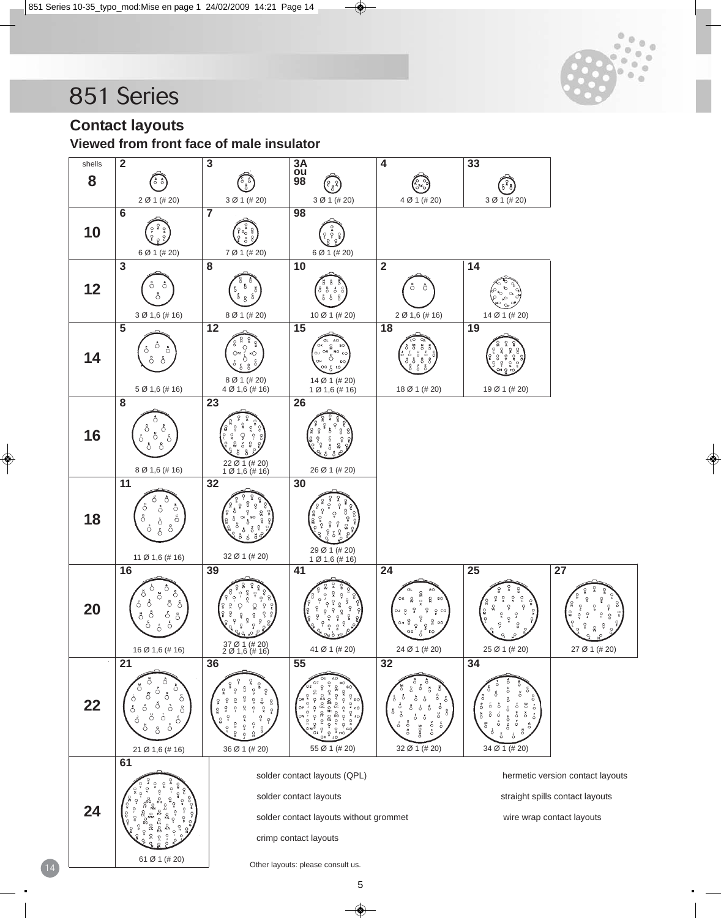

**Contact layouts**

**Viewed from front face of male insulator**

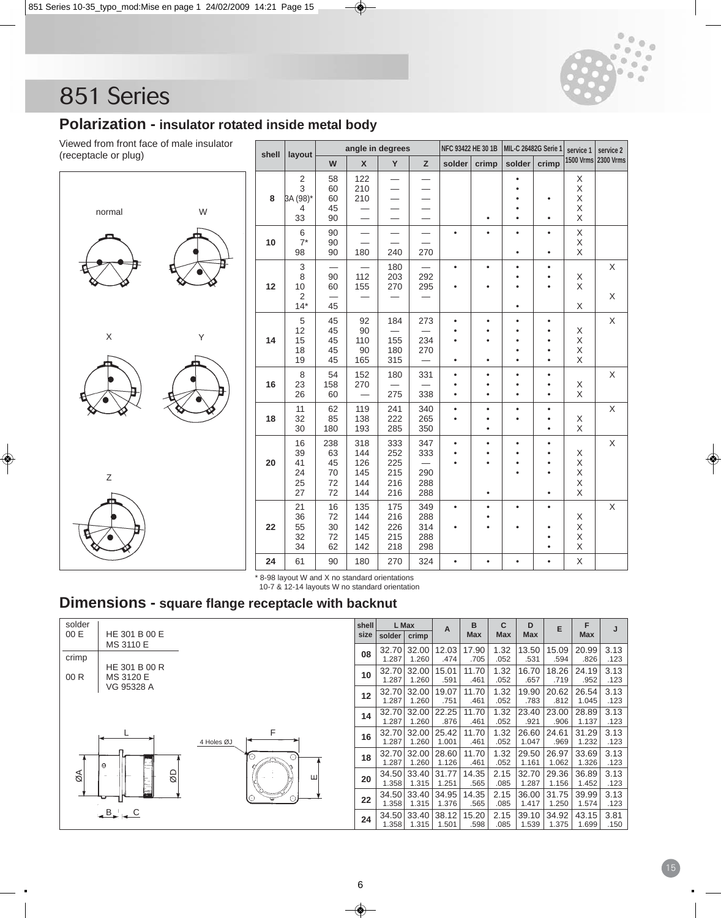

## **Polarization - insulator rotated inside metal body**

Viewed from front face of male insulator  $(re$ 

| ewed from front face of male insulator<br>ceptacle or plug) |       | layout                                  |                                   | angle in degrees                       |                                                      |                                                             | NFC 93422 HE 30 1B                  |                             | MIL-C 26482G Serie 1                          | service 1                                                     |                                                            | service 2           |
|-------------------------------------------------------------|-------|-----------------------------------------|-----------------------------------|----------------------------------------|------------------------------------------------------|-------------------------------------------------------------|-------------------------------------|-----------------------------|-----------------------------------------------|---------------------------------------------------------------|------------------------------------------------------------|---------------------|
|                                                             | shell |                                         | W                                 | $\mathsf{x}$                           | Y                                                    | z                                                           | solder                              | crimp                       | solder                                        | crimp                                                         |                                                            | 1500 Vrms 2300 Vrms |
| W<br>normal                                                 | 8     | 2<br>3<br>3A (98)*<br>4<br>33           | 58<br>60<br>60<br>45<br>90        | 122<br>210<br>210                      | —<br>$\overline{\phantom{0}}$                        | —                                                           |                                     | ٠                           | $\bullet$<br>٠<br>٠<br>$\bullet$<br>$\bullet$ | ٠<br>$\bullet$                                                | X<br>$\mathsf X$<br>X<br>$\mathsf X$<br>$\mathsf X$        |                     |
|                                                             | 10    | 6<br>$7^*$<br>98                        | 90<br>90<br>90                    | 180                                    | $\overline{\phantom{0}}$<br>240                      | $\overline{\phantom{0}}$<br>270                             | $\bullet$                           | $\bullet$                   | $\bullet$<br>$\bullet$                        | $\bullet$<br>$\bullet$                                        | Χ<br>Χ<br>X                                                |                     |
|                                                             | 12    | 3<br>8<br>10<br>$\overline{2}$<br>$14*$ | 90<br>60<br>45                    | —<br>112<br>155                        | 180<br>203<br>270<br>$\overline{\phantom{0}}$        | 292<br>295                                                  | $\bullet$<br>$\bullet$              | $\bullet$<br>٠              | $\bullet$<br>٠<br>$\bullet$<br>$\bullet$      | $\bullet$<br>$\bullet$<br>$\bullet$                           | Χ<br>$\mathsf X$<br>Χ                                      | X<br>X              |
| $\mathsf X$<br>Y                                            | 14    | 5<br>12<br>15<br>18<br>19               | 45<br>45<br>45<br>45<br>45        | 92<br>90<br>110<br>90<br>165           | 184<br>$\overline{\phantom{0}}$<br>155<br>180<br>315 | 273<br>234<br>270<br>$\overline{\phantom{0}}$               | $\bullet$<br>$\bullet$<br>$\bullet$ | $\bullet$<br>٠<br>٠         | $\bullet$<br>٠<br>$\bullet$<br>$\bullet$<br>٠ | $\bullet$<br>$\bullet$<br>$\bullet$<br>$\bullet$<br>$\bullet$ | Χ<br>Χ<br>X<br>$\mathsf{X}$                                | $\sf X$             |
|                                                             | 16    | 8<br>23<br>26                           | 54<br>158<br>60                   | 152<br>270                             | 180<br>$\overline{\phantom{0}}$<br>275               | 331<br>338                                                  | $\bullet$<br>٠<br>$\bullet$         | $\bullet$<br>٠<br>$\bullet$ | $\bullet$<br>$\bullet$<br>$\bullet$           | $\bullet$<br>$\bullet$<br>$\bullet$                           | $_{\rm X}^{\rm X}$                                         | $\mathsf X$         |
|                                                             | 18    | 11<br>32<br>30                          | 62<br>85<br>180                   | 119<br>138<br>193                      | 241<br>222<br>285                                    | 340<br>265<br>350                                           | $\bullet$                           | $\bullet$<br>٠              | $\bullet$<br>٠                                | $\bullet$<br>$\bullet$<br>$\bullet$                           | Χ<br>Χ                                                     | X                   |
| $\mathsf Z$                                                 | 20    | 16<br>39<br>41<br>24<br>25<br>27        | 238<br>63<br>45<br>70<br>72<br>72 | 318<br>144<br>126<br>145<br>144<br>144 | 333<br>252<br>225<br>215<br>216<br>216               | 347<br>333<br>$\overline{\phantom{0}}$<br>290<br>288<br>288 | $\bullet$                           | ٠<br>٠<br>$\bullet$         | $\bullet$<br>$\bullet$<br>٠<br>$\bullet$      | $\bullet$<br>$\bullet$<br>٠<br>$\bullet$<br>$\bullet$         | X<br>$\frac{\mathsf{X}}{\mathsf{X}}$<br>$\sf X$<br>$\sf X$ | X                   |
|                                                             | 22    | 21<br>36<br>55<br>32<br>34              | 16<br>72<br>30<br>72<br>62        | 135<br>144<br>142<br>145<br>142        | 175<br>216<br>226<br>215<br>218                      | 349<br>288<br>314<br>288<br>298                             | $\bullet$<br>$\bullet$              | ٠<br>٠                      | $\bullet$<br>$\bullet$                        | $\bullet$<br>$\bullet$<br>$\bullet$<br>$\bullet$              | $_\mathrm{X}^\mathrm{X}$<br>$\mathsf X$<br>Χ               | $\mathsf X$         |
|                                                             | 24    | 61                                      | 90                                | 180                                    | 270                                                  | 324                                                         | $\bullet$                           | ٠                           | $\bullet$                                     | $\bullet$                                                     | X                                                          |                     |

\* 8-98 layout W and X no standard orientations 10-7 & 12-14 layouts W no standard orientation

## **Dimensions - square flange receptacle with backnut**

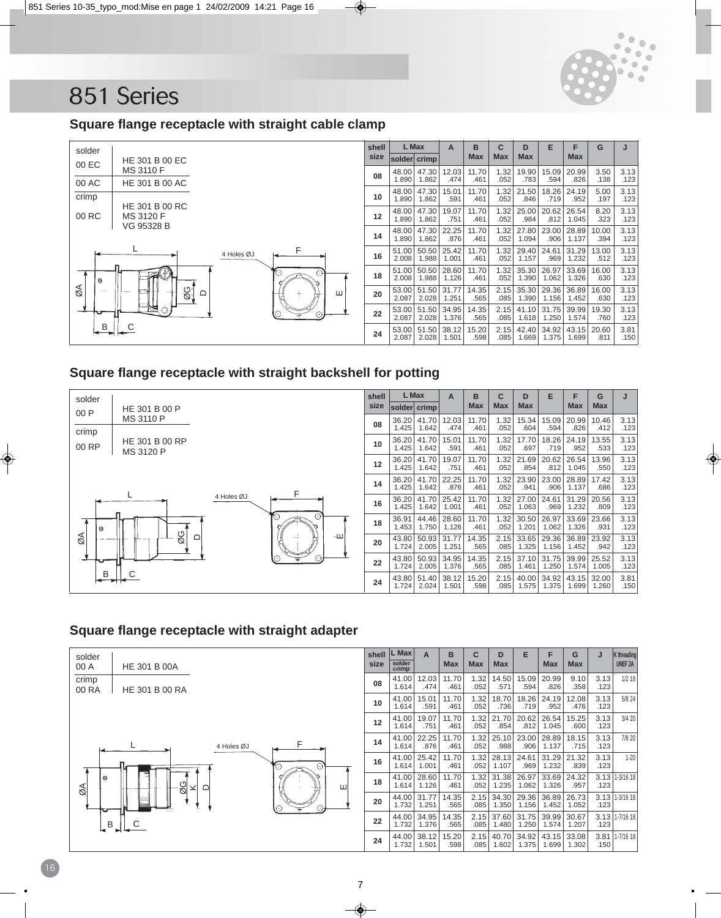

### **Square flange receptacle with straight cable clamp**



## **Square flange receptacle with straight backshell for potting**



### **Square flange receptacle with straight adapter**

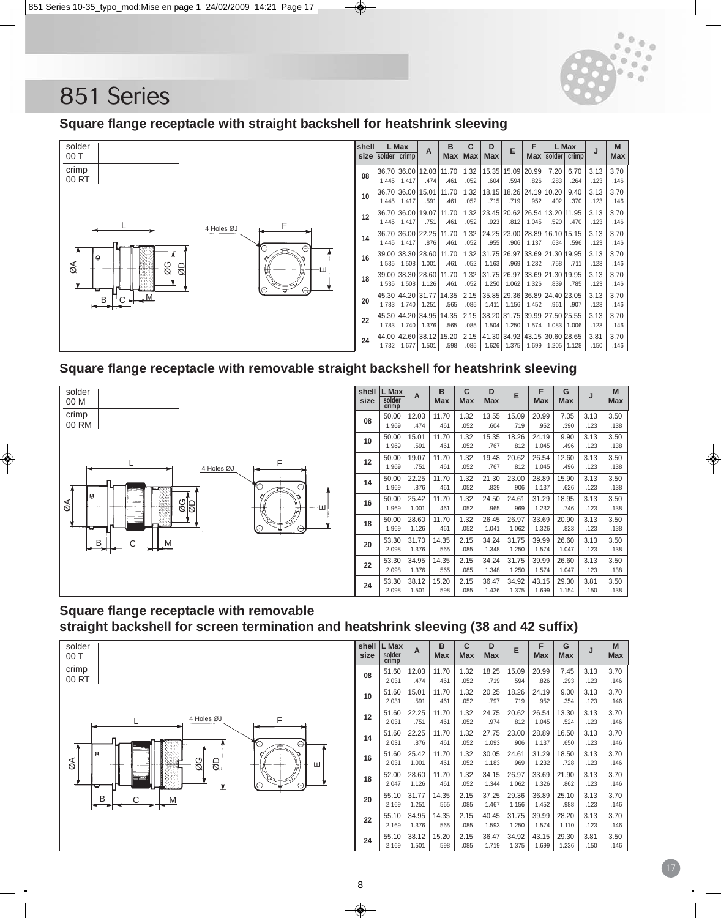

## **Square flange receptacle with straight backshell for heatshrink sleeving**



## **Square flange receptacle with removable straight backshell for heatshrink sleeving**



| shell<br>size | L Max<br>solder<br>crimp | A     | B<br><b>Max</b> | C<br><b>Max</b> | D<br><b>Max</b> | E     | F<br><b>Max</b> | G<br><b>Max</b> | J    | M<br><b>Max</b> |
|---------------|--------------------------|-------|-----------------|-----------------|-----------------|-------|-----------------|-----------------|------|-----------------|
| 08            | 50.00                    | 12.03 | 11.70           | 1.32            | 13.55           | 15.09 | 20.99           | 7.05            | 3.13 | 3.50            |
|               | 1.969                    | .474  | .461            | .052            | .604            | .719  | .952            | .390            | .123 | .138            |
| 10            | 50.00                    | 15.01 | 11.70           | 1.32            | 15.35           | 18.26 | 24.19           | 9.90            | 3.13 | 3.50            |
|               | 1.969                    | .591  | .461            | .052            | .767            | .812  | 1.045           | .496            | .123 | .138            |
| 12            | 50.00                    | 19.07 | 11.70           | 1.32            | 19.48           | 20.62 | 26.54           | 12.60           | 3.13 | 3.50            |
|               | 1.969                    | .751  | .461            | .052            | .767            | .812  | 1.045           | .496            | .123 | .138            |
| 14            | 50.00                    | 22.25 | 11.70           | 1.32            | 21.30           | 23.00 | 28.89           | 15.90           | 3.13 | 3.50            |
|               | 1.969                    | .876  | .461            | .052            | .839            | .906  | 1.137           | .626            | .123 | .138            |
| 16            | 50.00                    | 25.42 | 11.70           | 1.32            | 24.50           | 24.61 | 31.29           | 18.95           | 3.13 | 3.50            |
|               | 1.969                    | 1.001 | .461            | .052            | .965            | .969  | 1.232           | .746            | .123 | .138            |
| 18            | 50.00                    | 28.60 | 11.70           | 1.32            | 26.45           | 26.97 | 33.69           | 20.90           | 3.13 | 3.50            |
|               | 1.969                    | 1.126 | .461            | .052            | 1.041           | 1.062 | 1.326           | .823            | .123 | .138            |
| 20            | 53.30                    | 31.70 | 14.35           | 2.15            | 34.24           | 31.75 | 39.99           | 26.60           | 3.13 | 3.50            |
|               | 2.098                    | 1.376 | .565            | .085            | 1.348           | 1.250 | 1.574           | 1.047           | .123 | .138            |
| 22            | 53.30                    | 34.95 | 14.35           | 2.15            | 34.24           | 31.75 | 39.99           | 26.60           | 3.13 | 3.50            |
|               | 2.098                    | 1.376 | .565            | .085            | 1.348           | 1.250 | 1.574           | 1.047           | .123 | .138            |
| 24            | 53.30                    | 38.12 | 15.20           | 2.15            | 36.47           | 34.92 | 43.15           | 29.30           | 3.81 | 3.50            |
|               | 2.098                    | 1.501 | .598            | .085            | 1.436           | 1.375 | 1.699           | 1.154           | .150 | .138            |

## **Square flange receptacle with removable straight backshell for screen termination and heatshrink sleeving (38 and 42 suffix)**



| shell<br>size | L Max<br>solder<br>crimp | A     | B<br><b>Max</b> | C<br><b>Max</b> | D<br><b>Max</b> | E     | F<br><b>Max</b> | G<br>Max | J    | M<br><b>Max</b> |
|---------------|--------------------------|-------|-----------------|-----------------|-----------------|-------|-----------------|----------|------|-----------------|
| 08            | 51.60                    | 12.03 | 11.70           | 1.32            | 18.25           | 15.09 | 20.99           | 7.45     | 3.13 | 3.70            |
|               | 2.031                    | .474  | .461            | .052            | .719            | .594  | .826            | .293     | .123 | .146            |
| 10            | 51.60                    | 15.01 | 11.70           | 1.32            | 20.25           | 18.26 | 24.19           | 9.00     | 3.13 | 3.70            |
|               | 2.031                    | .591  | .461            | .052            | .797            | .719  | .952            | .354     | .123 | .146            |
| 12            | 51.60                    | 22.25 | 11.70           | 1.32            | 24.75           | 20.62 | 26.54           | 13.30    | 3.13 | 3.70            |
|               | 2.031                    | .751  | .461            | .052            | .974            | .812  | 1.045           | .524     | .123 | .146            |
| 14            | 51.60                    | 22.25 | 11.70           | 1.32            | 27.75           | 23.00 | 28.89           | 16.50    | 3.13 | 3.70            |
|               | 2.031                    | .876  | .461            | .052            | 1.093           | .906  | 1.137           | .650     | .123 | .146            |
| 16            | 51.60                    | 25.42 | 11.70           | 1.32            | 30.05           | 24.61 | 31.29           | 18.50    | 3.13 | 3.70            |
|               | 2.031                    | 1.001 | .461            | .052            | 1.183           | .969  | 1.232           | .728     | .123 | .146            |
| 18            | 52.00                    | 28.60 | 11.70           | 1.32            | 34.15           | 26.97 | 33.69           | 21.90    | 3.13 | 3.70            |
|               | 2.047                    | 1.126 | .461            | .052            | 1.344           | 1.062 | 1.326           | .862     | .123 | .146            |
| 20            | 55.10                    | 31.77 | 14.35           | 2.15            | 37.25           | 29.36 | 36.89           | 25.10    | 3.13 | 3.70            |
|               | 2.169                    | 1.251 | .565            | .085            | 1.467           | 1.156 | 1.452           | .988     | .123 | .146            |
| 22            | 55.10                    | 34.95 | 14.35           | 2.15            | 40.45           | 31.75 | 39.99           | 28.20    | 3.13 | 3.70            |
|               | 2.169                    | 1.376 | .565            | .085            | 1.593           | 1.250 | 1.574           | 1.110    | .123 | .146            |
| 24            | 55.10                    | 38.12 | 15.20           | 2.15            | 36.47           | 34.92 | 43.15           | 29.30    | 3.81 | 3.50            |
|               | 2.169                    | 1.501 | .598            | .085            | 1.719           | 1.375 | 1.699           | 1.236    | .150 | .146            |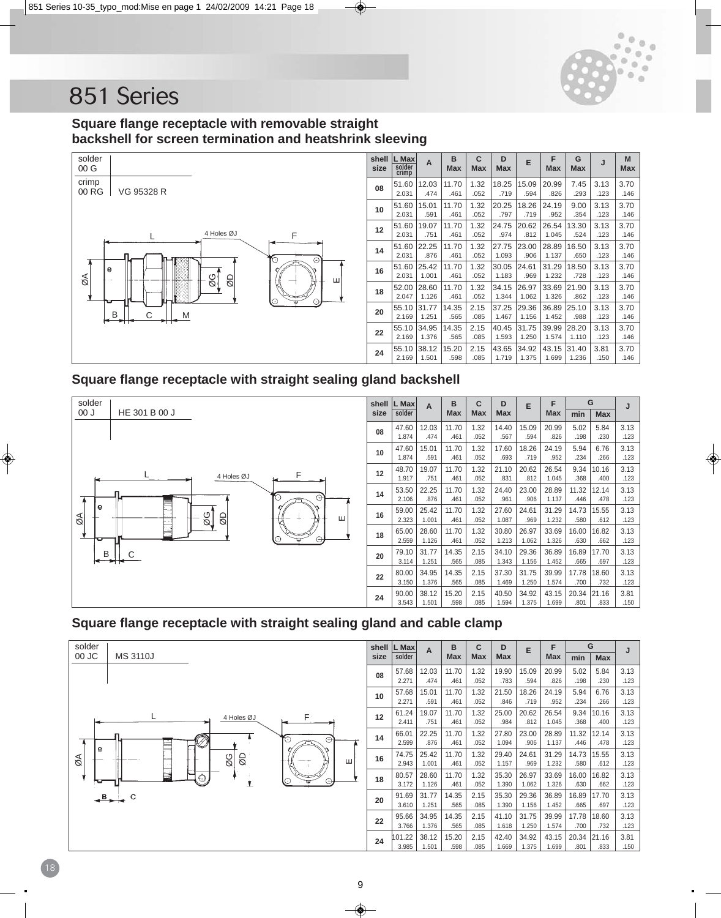

## **Square flange receptacle with removable straight backshell for screen termination and heatshrink sleeving**



| shell<br>size | L Max<br>solder<br>crimp | A     | в<br><b>Max</b> | С<br><b>Max</b> | D<br>Max | E     | F<br><b>Max</b> | G<br>Max | J    | M<br><b>Max</b> |
|---------------|--------------------------|-------|-----------------|-----------------|----------|-------|-----------------|----------|------|-----------------|
| 08            | 51.60                    | 12.03 | 11.70           | 1.32            | 18.25    | 15.09 | 20.99           | 7.45     | 3.13 | 3.70            |
|               | 2.031                    | .474  | .461            | .052            | .719     | .594  | .826            | .293     | .123 | .146            |
| 10            | 51.60                    | 15.01 | 11.70           | 1.32            | 20.25    | 18.26 | 24.19           | 9.00     | 3.13 | 3.70            |
|               | 2.031                    | .591  | .461            | .052            | .797     | .719  | .952            | .354     | .123 | .146            |
| 12            | 51.60                    | 19.07 | 11.70           | 1.32            | 24.75    | 20.62 | 26.54           | 13.30    | 3.13 | 3.70            |
|               | 2.031                    | .751  | .461            | .052            | .974     | .812  | 1.045           | .524     | .123 | .146            |
| 14            | 51.60                    | 22.25 | 11.70           | 1.32            | 27.75    | 23.00 | 28.89           | 16.50    | 3.13 | 3.70            |
|               | 2.031                    | .876  | .461            | .052            | 1.093    | .906  | 1.137           | .650     | .123 | .146            |
| 16            | 51.60                    | 25.42 | 11.70           | 1.32            | 30.05    | 24.61 | 31.29           | 18.50    | 3.13 | 3.70            |
|               | 2.031                    | 1.001 | .461            | .052            | 1.183    | .969  | 1.232           | .728     | .123 | .146            |
| 18            | 52.00                    | 28.60 | 11.70           | 1.32            | 34.15    | 26.97 | 33.69           | 21.90    | 3.13 | 3.70            |
|               | 2.047                    | 1.126 | .461            | .052            | 1.344    | 1.062 | 1.326           | .862     | .123 | .146            |
| 20            | 55.10                    | 31.77 | 14.35           | 2.15            | 37.25    | 29.36 | 36.89           | 25.10    | 3.13 | 3.70            |
|               | 2.169                    | 1.251 | .565            | .085            | 1.467    | 1.156 | 1.452           | .988     | .123 | .146            |
| 22            | 55.10                    | 34.95 | 14.35           | 2.15            | 40.45    | 31.75 | 39.99           | 28.20    | 3.13 | 3.70            |
|               | 2.169                    | 1.376 | .565            | .085            | 1.593    | 1.250 | 1.574           | 1.110    | .123 | .146            |
| 24            | 55.10                    | 38.12 | 15.20           | 2.15            | 43.65    | 34.92 | 43.15           | 31.40    | 3.81 | 3.70            |
|               | 2.169                    | 1.501 | .598            | .085            | 1.719    | 1.375 | 1.699           | 1.236    | .150 | .146            |

### **Square flange receptacle with straight sealing gland backshell**



| shell | L Max  | A     | в          | C          | D          | E     | F     |       | G          | J    |
|-------|--------|-------|------------|------------|------------|-------|-------|-------|------------|------|
| size  | solder |       | <b>Max</b> | <b>Max</b> | <b>Max</b> |       | Max   | min   | <b>Max</b> |      |
| 08    | 47.60  | 12.03 | 11.70      | 1.32       | 14.40      | 15.09 | 20.99 | 5.02  | 5.84       | 3.13 |
|       | 1.874  | .474  | .461       | .052       | .567       | .594  | .826  | .198  | .230       | .123 |
| 10    | 47.60  | 15.01 | 11.70      | 1.32       | 17.60      | 18.26 | 24.19 | 5.94  | 6.76       | 3.13 |
|       | 1.874  | .591  | .461       | .052       | .693       | .719  | .952  | .234  | .266       | .123 |
| 12    | 48.70  | 19.07 | 11.70      | 1.32       | 21.10      | 20.62 | 26.54 | 9.34  | 10.16      | 3.13 |
|       | 1.917  | .751  | .461       | .052       | .831       | .812  | 1.045 | .368  | .400       | .123 |
| 14    | 53.50  | 22.25 | 11.70      | 1.32       | 24.40      | 23.00 | 28.89 | 11.32 | 12.14      | 3.13 |
|       | 2.106  | .876  | .461       | .052       | .961       | .906  | 1.137 | .446  | .478       | .123 |
| 16    | 59.00  | 25.42 | 11.70      | 1.32       | 27.60      | 24.61 | 31.29 | 14.73 | 15.55      | 3.13 |
|       | 2.323  | 1.001 | .461       | .052       | 1.087      | .969  | 1.232 | .580  | .612       | .123 |
|       | 65.00  | 28.60 | 11.70      | 1.32       | 30.80      | 26.97 | 33.69 | 16.00 | 16.82      | 3.13 |
| 18    | 2.559  | 1.126 | .461       | .052       | 1.213      | 1.062 | 1.326 | .630  | .662       | .123 |
|       | 79.10  | 31.77 | 14.35      | 2.15       | 34.10      | 29.36 | 36.89 | 16.89 | 17.70      | 3.13 |
| 20    | 3.114  | 1.251 | .565       | .085       | 1.343      | 1.156 | 1.452 | .665  | .697       | .123 |
|       | 80.00  | 34.95 | 14.35      | 2.15       | 37.30      | 31.75 | 39.99 | 17.78 | 18.60      | 3.13 |
| 22    | 3.150  | 1.376 | .565       | .085       | 1.469      | 1.250 | 1.574 | .700  | .732       | .123 |
|       | 90.00  | 38.12 | 15.20      | 2.15       | 40.50      | 34.92 | 43.15 | 20.34 | 21.16      | 3.81 |
| 24    | 3.543  | 1.501 | .598       | .085       | 1.594      | 1.375 | 1.699 | .801  | .833       | .150 |

## **Square flange receptacle with straight sealing gland and cable clamp**

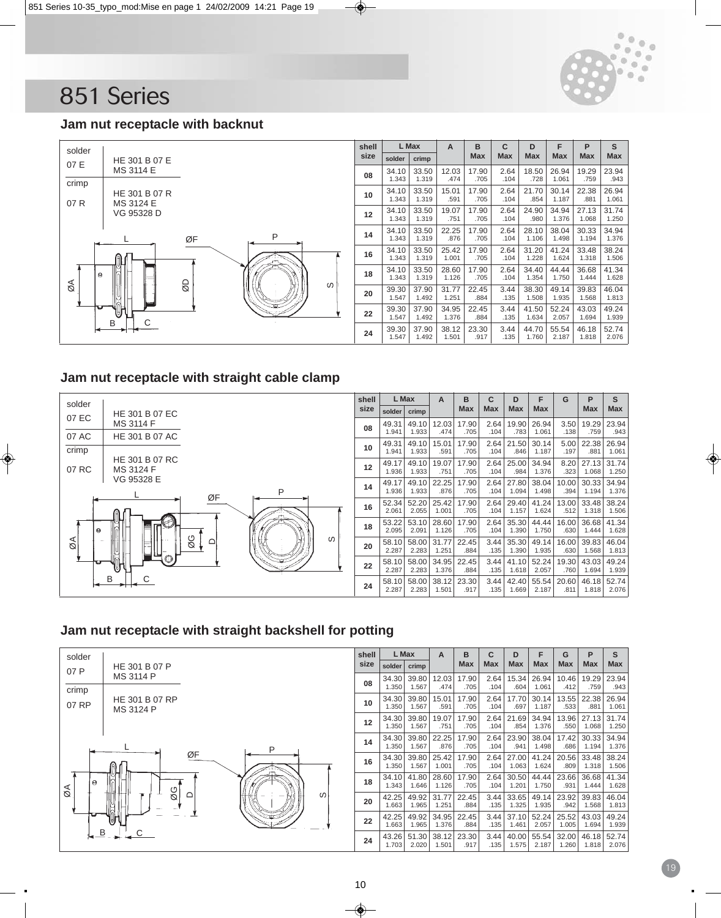

**Max**

**S Max**

# 851 Series

#### **Jam nut receptacle with backnut**



#### **Jam nut receptacle with straight cable clamp**



#### **Jam nut receptacle with straight backshell for potting**

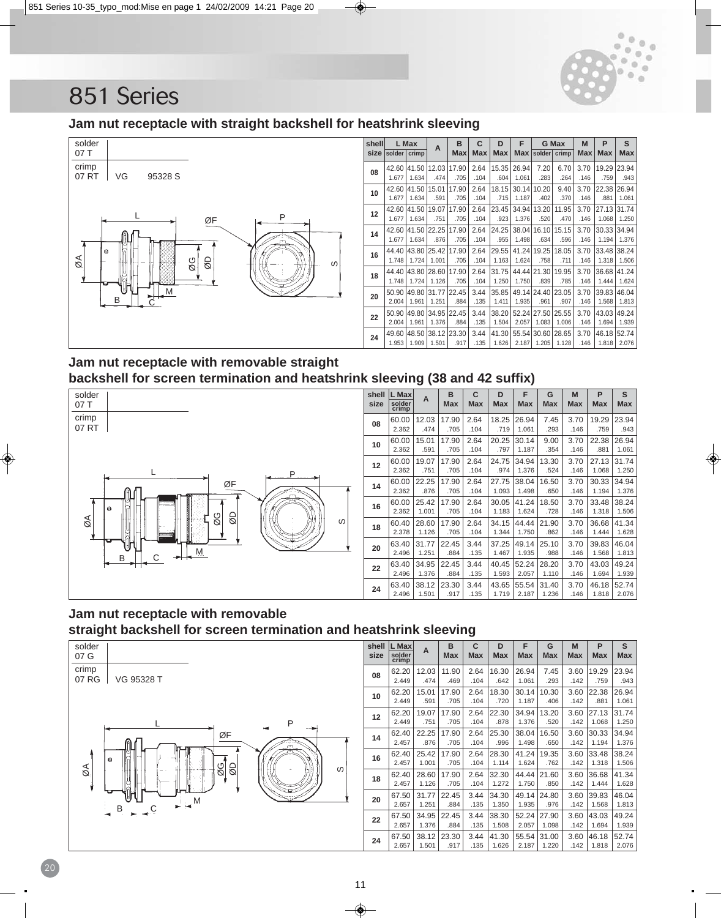

## **Jam nut receptacle with straight backshell for heatshrink sleeving**



| shelll            |        | L Max       | A                 | в          | C          | D     | F          |                   | G Max | M          | P           | S          |
|-------------------|--------|-------------|-------------------|------------|------------|-------|------------|-------------------|-------|------------|-------------|------------|
| size              | solder | crimp       |                   | <b>Max</b> | <b>Max</b> | Max   | <b>Max</b> | solder crimp      |       | <b>Max</b> | <b>Max</b>  | <b>Max</b> |
| 08                |        | 42.60 41.50 | 12.03             | 17.90      | 2.64       | 15.35 | 26.94      | 7.20              | 6.70  | 3.70       | 19.29       | 23.94      |
|                   | 1.677  | 1.634       | .474              | .705       | .104       | .604  | 1.061      | .283              | .264  | .146       | .759        | .943       |
| 10                | 42.60  | 41.50       | 15.01             | 17.90      | 2.64       | 18.15 |            | 30.14 10.20       | 9.40  | 3.70       | 22.38       | 26.94      |
|                   | 1.677  | 1.634       | .591              | .705       | .104       | .715  | 1.187      | .402              | .370  | .146       | .881        | 1.061      |
| $12 \overline{ }$ | 42.60  | 41.50       | 19.07             | 17.90      | 2.64       | 23.45 |            | 34.94 13.20       | 11.95 | 3.70       | 27.13       | 31.74      |
|                   | 1.677  | 1.634       | .751              | .705       | .104       | .923  | 1.376      | .520              | .470  | .146       | 1.068       | 1.250      |
| 14                | 42.60  |             | 41.50 22.25       | 17.90      | 2.64       | 24.25 |            | 38.04 16.10       | 15.15 | 3.70       | 30.33       | 34.94      |
|                   | 1.677  | 1.634       | .876              | .705       | .104       | .955  | 1.498      | .634              | .596  | .146       | 1.194       | 1.376      |
| 16                | 44.40  |             | 43.80 25.42 17.90 |            | 2.64       | 29.55 |            | 41.24 19.25       | 18.05 | 3.70       | 33.48 38.24 |            |
|                   | 1.748  | 1.724       | 1.001             | .705       | .104       | 1.163 | 1.624      | .758              | .711  | .146       | 1.318       | 1.506      |
| 18                | 44.40  | 43.80       | 28.60             | 17.90      | 2.64       | 31.75 |            | 44.44 21.30       | 19.95 | 3.70       | 36.68       | 41.24      |
|                   | 1.748  | 1.724       | 1.126             | .705       | .104       | 1.250 | 1.750      | .839              | .785  | .146       | 1.444       | 1.624      |
|                   | 50.90  | 49.80       | 31.77             | 22.45      | 3.44       | 35.85 |            | 49.14 24.40 23.05 |       | 3.70       | 39.83       | 46.04      |
| 20                | 2.004  | 1.961       | 1.251             | .884       | .135       | 1.411 | 1.935      | .961              | .907  | .146       | 1.568       | 1.813      |
|                   | 50.90  | 49.80       | 34.95             | 22.45      | 3.44       | 38.20 | 52.24      | 27.50             | 25.55 | 3.70       | 43.03       | 49.24      |
| 22                | 2.004  | 1.961       | 1.376             | .884       | .135       | 1.504 | 2.057      | 1.083             | 1.006 | .146       | 1.694       | 1.939      |
|                   | 49.60  | 48.50       | 38.12 23.30       |            | 3.44       | 41.30 | 55.54      | 30.60             | 28.65 | 3.70       | 46.18       | 52.74      |
| 24                | 1.953  | 1.909       | 1.501             | .917       | .135       | 1.626 | 2.187      | 1.205             | 1.128 | .146       | 1.818       | 2.076      |
|                   |        |             |                   |            |            |       |            |                   |       |            |             |            |

## **Jam nut receptacle with removable straight backshell for screen termination and heatshrink sleeving (38 and 42 suffix)**



|               |                          | $\overline{\phantom{a}}$ |                 |                 |                 | ,        |          |                 |                 |                 |
|---------------|--------------------------|--------------------------|-----------------|-----------------|-----------------|----------|----------|-----------------|-----------------|-----------------|
| shell<br>size | L Max<br>solder<br>crimp | A                        | B<br><b>Max</b> | C<br><b>Max</b> | D<br><b>Max</b> | F<br>Max | G<br>Max | M<br><b>Max</b> | P<br><b>Max</b> | S<br><b>Max</b> |
| 08            | 60.00                    | 12.03                    | 17.90           | 2.64            | 18.25           | 26.94    | 7.45     | 3.70            | 19.29           | 23.94           |
|               | 2.362                    | .474                     | .705            | .104            | .719            | 1.061    | .293     | .146            | .759            | .943            |
| 10            | 60.00                    | 15.01                    | 17.90           | 2.64            | 20.25           | 30.14    | 9.00     | 3.70            | 22.38           | 26.94           |
|               | 2.362                    | .591                     | .705            | .104            | .797            | 1.187    | .354     | .146            | .881            | 1.061           |
| 12            | 60.00                    | 19.07                    | 17.90           | 2.64            | 24.75           | 34.94    | 13.30    | 3.70            | 27.13           | 31.74           |
|               | 2.362                    | .751                     | .705            | .104            | .974            | 1.376    | .524     | .146            | 1.068           | 1.250           |
| 14            | 60.00                    | 22.25                    | 17.90           | 2.64            | 27.75           | 38.04    | 16.50    | 3.70            | 30.33           | 34.94           |
|               | 2.362                    | .876                     | .705            | .104            | 1.093           | 1.498    | .650     | .146            | 1.194           | 1.376           |
| 16            | 60.00                    | 25.42                    | 17.90           | 2.64            | 30.05           | 41.24    | 18.50    | 3.70            | 33.48           | 38.24           |
|               | 2.362                    | 1.001                    | .705            | .104            | 1.183           | 1.624    | .728     | .146            | 1.318           | 1.506           |
| 18            | 60.40                    | 28.60                    | 17.90           | 2.64            | 34.15           | 44.44    | 21.90    | 3.70            | 36.68           | 41.34           |
|               | 2.378                    | 1.126                    | .705            | .104            | 1.344           | 1.750    | .862     | .146            | 1.444           | 1.628           |
| 20            | 63.40                    | 31.77                    | 22.45           | 3.44            | 37.25           | 49.14    | 25.10    | 3.70            | 39.83           | 46.04           |
|               | 2.496                    | 1.251                    | .884            | .135            | 1.467           | 1.935    | .988     | .146            | 1.568           | 1.813           |
| 22            | 63.40                    | 34.95                    | 22.45           | 3.44            | 40.45           | 52.24    | 28.20    | 3.70            | 43.03           | 49.24           |
|               | 2.496                    | 1.376                    | .884            | .135            | 1.593           | 2.057    | 1.110    | .146            | 1.694           | 1.939           |
| 24            | 63.40                    | 38.12                    | 23.30           | 3.44            | 43.65           | 55.54    | 31.40    | 3.70            | 46.18           | 52.74           |
|               | 2.496                    | 1.501                    | .917            | .135            | 1.719           | 2.187    | 1.236    | .146            | 1.818           | 2.076           |

## **Jam nut receptacle with removable straight backshell for screen termination and heatshrink sleeving**



| shell<br>size | L Max<br>solder<br>crimp | A     | в<br><b>Max</b> | C<br><b>Max</b> | D<br><b>Max</b> | F<br><b>Max</b> | G<br><b>Max</b> | M<br><b>Max</b> | P<br><b>Max</b> | S<br><b>Max</b> |
|---------------|--------------------------|-------|-----------------|-----------------|-----------------|-----------------|-----------------|-----------------|-----------------|-----------------|
| 08            | 62.20                    | 12.03 | 11.90           | 2.64            | 16.30           | 26.94           | 7.45            | 3.60            | 19.29           | 23.94           |
|               | 2.449                    | .474  | .469            | .104            | .642            | 1.061           | .293            | .142            | .759            | .943            |
| 10            | 62.20                    | 15.01 | 17.90           | 2.64            | 18.30           | 30.14           | 10.30           | 3.60            | 22.38           | 26.94           |
|               | 2.449                    | .591  | .705            | .104            | .720            | 1.187           | .406            | .142            | .881            | 1.061           |
| 12            | 62.20                    | 19.07 | 17.90           | 2.64            | 22.30           | 34.94           | 13.20           | 3.60            | 27.13           | 31.74           |
|               | 2.449                    | .751  | .705            | .104            | .878            | 1.376           | .520            | .142            | 1.068           | 1.250           |
| 14            | 62.40                    | 22.25 | 17.90           | 2.64            | 25.30           | 38.04           | 16.50           | 3.60            | 30.33           | 34.94           |
|               | 2.457                    | .876  | .705            | .104            | .996            | 1.498           | .650            | .142            | 1.194           | 1.376           |
| 16            | 62.40                    | 25.42 | 17.90           | 2.64            | 28.30           | 41.24           | 19.35           | 3.60            | 33.48           | 38.24           |
|               | 2.457                    | 1.001 | .705            | .104            | 1.114           | 1.624           | .762            | .142            | 1.318           | 1.506           |
| 18            | 62.40                    | 28.60 | 17.90           | 2.64            | 32.30           | 44.44           | 21.60           | 3.60            | 36.68           | 41.34           |
|               | 2.457                    | 1.126 | .705            | .104            | 1.272           | 1.750           | .850            | .142            | 1.444           | 1.628           |
| 20            | 67.50                    | 31.77 | 22.45           | 3.44            | 34.30           | 49.14           | 24.80           | 3.60            | 39.83           | 46.04           |
|               | 2.657                    | 1.251 | .884            | .135            | 1.350           | 1.935           | .976            | .142            | 1.568           | 1.813           |
| 22            | 67.50                    | 34.95 | 22.45           | 3.44            | 38.30           | 52.24           | 27.90           | 3.60            | 43.03           | 49.24           |
|               | 2.657                    | 1.376 | .884            | .135            | 1.508           | 2.057           | 1.098           | .142            | 1.694           | 1.939           |
| 24            | 67.50                    | 38.12 | 23.30           | 3.44            | 41.30           | 55.54           | 31.00           | 3.60            | 46.18           | 52.74           |
|               | 2.657                    | 1.501 | .917            | .135            | 1.626           | 2.187           | 1.220           | .142            | 1.818           | 2.076           |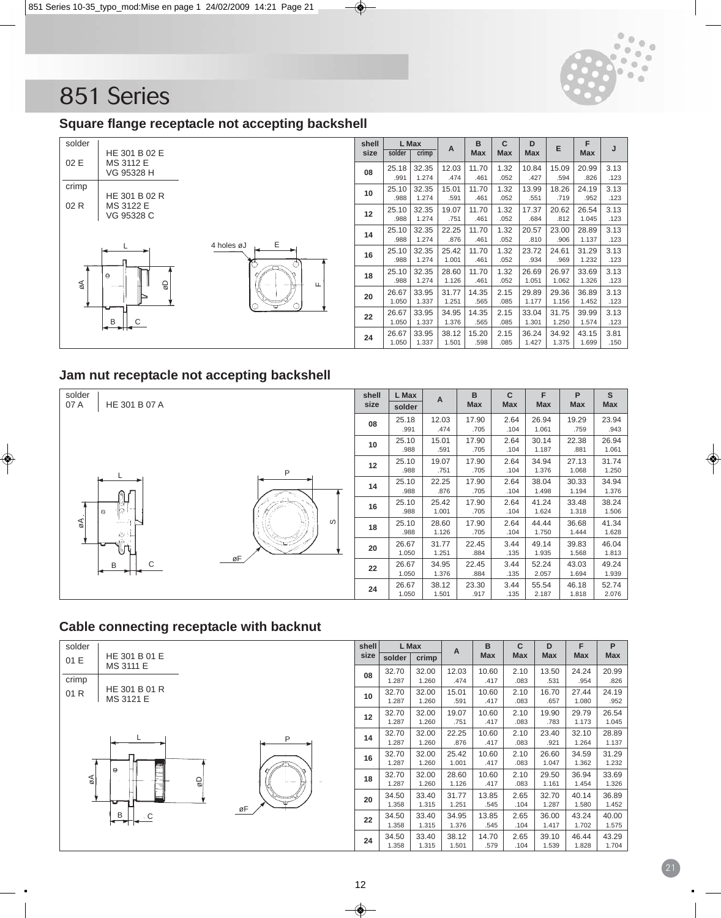

## **Square flange receptacle not accepting backshell**



| shell |        | L Max | A     | B          | C          | D          | E     | F          | J    |
|-------|--------|-------|-------|------------|------------|------------|-------|------------|------|
| size  | solder | crimp |       | <b>Max</b> | <b>Max</b> | <b>Max</b> |       | <b>Max</b> |      |
| 08    | 25.18  | 32.35 | 12.03 | 11.70      | 1.32       | 10.84      | 15.09 | 20.99      | 3.13 |
|       | .991   | 1.274 | .474  | .461       | .052       | .427       | .594  | .826       | .123 |
| 10    | 25.10  | 32.35 | 15.01 | 11.70      | 1.32       | 13.99      | 18.26 | 24.19      | 3.13 |
|       | .988   | 1.274 | .591  | .461       | .052       | .551       | .719  | .952       | .123 |
| 12    | 25.10  | 32.35 | 19.07 | 11.70      | 1.32       | 17.37      | 20.62 | 26.54      | 3.13 |
|       | .988   | 1.274 | .751  | .461       | .052       | .684       | .812  | 1.045      | .123 |
| 14    | 25.10  | 32.35 | 22.25 | 11.70      | 1.32       | 20.57      | 23.00 | 28.89      | 3.13 |
|       | .988   | 1.274 | .876  | .461       | .052       | .810       | .906  | 1.137      | .123 |
| 16    | 25.10  | 32.35 | 25.42 | 11.70      | 1.32       | 23.72      | 24.61 | 31.29      | 3.13 |
|       | .988   | 1.274 | 1.001 | .461       | .052       | .934       | .969  | 1.232      | .123 |
| 18    | 25.10  | 32.35 | 28.60 | 11.70      | 1.32       | 26.69      | 26.97 | 33.69      | 3.13 |
|       | .988   | 1.274 | 1.126 | .461       | .052       | 1.051      | 1.062 | 1.326      | .123 |
| 20    | 26.67  | 33.95 | 31.77 | 14.35      | 2.15       | 29.89      | 29.36 | 36.89      | 3.13 |
|       | 1.050  | 1.337 | 1.251 | .565       | .085       | 1.177      | 1.156 | 1.452      | .123 |
| 22    | 26.67  | 33.95 | 34.95 | 14.35      | 2.15       | 33.04      | 31.75 | 39.99      | 3.13 |
|       | 1.050  | 1.337 | 1.376 | .565       | .085       | 1.301      | 1.250 | 1.574      | .123 |
| 24    | 26.67  | 33.95 | 38.12 | 15.20      | 2.15       | 36.24      | 34.92 | 43.15      | 3.81 |
|       | 1.050  | 1.337 | 1.501 | .598       | .085       | 1.427      | 1.375 | 1.699      | .150 |

## **Jam nut receptacle not accepting backshell**

| solder<br>HE 301 B 07 A<br>07 A      | shell<br>size   | L Max<br>solder | A              | B<br>Max      | C<br><b>Max</b> | F<br>Max       | P<br><b>Max</b> | S<br>Max       |
|--------------------------------------|-----------------|-----------------|----------------|---------------|-----------------|----------------|-----------------|----------------|
|                                      | 08              | 25.18<br>.991   | 12.03<br>.474  | 17.90<br>.705 | 2.64<br>.104    | 26.94<br>1.061 | 19.29<br>.759   | 23.94<br>.943  |
|                                      | 10 <sup>1</sup> | 25.10<br>.988   | 15.01<br>.591  | 17.90<br>.705 | 2.64<br>.104    | 30.14<br>1.187 | 22.38<br>.881   | 26.94<br>1.061 |
| P                                    | 12              | 25.10<br>.988   | 19.07<br>.751  | 17.90<br>.705 | 2.64<br>.104    | 34.94<br>1.376 | 27.13<br>1.068  | 31.74<br>1.250 |
|                                      | 14              | 25.10<br>.988   | 22.25<br>.876  | 17.90<br>.705 | 2.64<br>.104    | 38.04<br>1.498 | 30.33<br>1.194  | 34.94<br>1.376 |
| h<br>0                               | 16              | 25.10<br>.988   | 25.42<br>1.001 | 17.90<br>.705 | 2.64<br>.104    | 41.24<br>1.624 | 33.48<br>1.318  | 38.24<br>1.506 |
| $\mathbb{Z}$<br>w<br>carrier of<br>Ù | 18              | 25.10<br>.988   | 28.60<br>1.126 | 17.90<br>.705 | 2.64<br>.104    | 44.44<br>1.750 | 36.68<br>1.444  | 41.34<br>1.628 |
| ιπ<br>øF                             | 20              | 26.67<br>1.050  | 31.77<br>1.251 | 22.45<br>.884 | 3.44<br>.135    | 49.14<br>1.935 | 39.83<br>1.568  | 46.04<br>1.813 |
| С<br>B                               | 22              | 26.67<br>1.050  | 34.95<br>1.376 | 22.45<br>.884 | 3.44<br>.135    | 52.24<br>2.057 | 43.03<br>1.694  | 49.24<br>1.939 |
|                                      | 24              | 26.67<br>1.050  | 38.12<br>1.501 | 23.30<br>.917 | 3.44<br>.135    | 55.54<br>2.187 | 46.18<br>1.818  | 52.74<br>2.076 |

## **Cable connecting receptacle with backnut**

| solder                                    |                          |              | shell |                | L Max          | $\overline{A}$ | B             | C            | D              | F              | P              |
|-------------------------------------------|--------------------------|--------------|-------|----------------|----------------|----------------|---------------|--------------|----------------|----------------|----------------|
| HE 301 B 01 E<br>01 E<br><b>MS 3111 E</b> |                          |              | size  | solder         | crimp          |                | Max           | <b>Max</b>   | <b>Max</b>     | <b>Max</b>     | Max            |
| crimp                                     |                          |              | 08    | 32.70<br>1.287 | 32.00<br>1.260 | 12.03<br>.474  | 10.60<br>.417 | 2.10<br>.083 | 13.50<br>.531  | 24.24<br>.954  | 20.99<br>.826  |
| HE 301 B 01 R<br>01 R<br>MS 3121 E        |                          |              | 10    | 32.70<br>1.287 | 32.00<br>1.260 | 15.01<br>.591  | 10.60<br>.417 | 2.10<br>.083 | 16.70<br>.657  | 27.44<br>1.080 | 24.19<br>.952  |
|                                           |                          |              | 12    | 32.70<br>1.287 | 32.00<br>1.260 | 19.07<br>.751  | 10.60<br>.417 | 2.10<br>.083 | 19.90<br>.783  | 29.79<br>1.173 | 26.54<br>1.045 |
|                                           |                          | P            | 14    | 32.70<br>1.287 | 32.00<br>1.260 | 22.25<br>.876  | 10.60<br>.417 | 2.10<br>.083 | 23.40<br>.921  | 32.10<br>1.264 | 28.89<br>1.137 |
| Ë                                         |                          |              | 16    | 32.70<br>1.287 | 32.00<br>1.260 | 25.42<br>1.001 | 10.60<br>.417 | 2.10<br>.083 | 26.60<br>1.047 | 34.59<br>1.362 | 31.29<br>1.232 |
| 0<br>$\frac{1}{\beta}$                    | $\overline{\mathcal{O}}$ | And a series | 18    | 32.70<br>1.287 | 32.00<br>1.260 | 28.60<br>1.126 | 10.60<br>.417 | 2.10<br>.083 | 29.50<br>1.161 | 36.94<br>1.454 | 33.69<br>1.326 |
| υ                                         |                          |              | 20    | 34.50<br>1.358 | 33.40<br>1.315 | 31.77<br>1.251 | 13.85<br>.545 | 2.65<br>.104 | 32.70<br>1.287 | 40.14<br>1.580 | 36.89<br>1.452 |
| B                                         |                          | øF           | 22    | 34.50<br>1.358 | 33.40<br>1.315 | 34.95<br>1.376 | 13.85<br>.545 | 2.65<br>.104 | 36.00<br>1.417 | 43.24<br>1.702 | 40.00<br>1.575 |
|                                           |                          |              | 24    | 34.50<br>1.358 | 33.40<br>1.315 | 38.12<br>1.501 | 14.70<br>.579 | 2.65<br>.104 | 39.10<br>1.539 | 46.44<br>1.828 | 43.29<br>1.704 |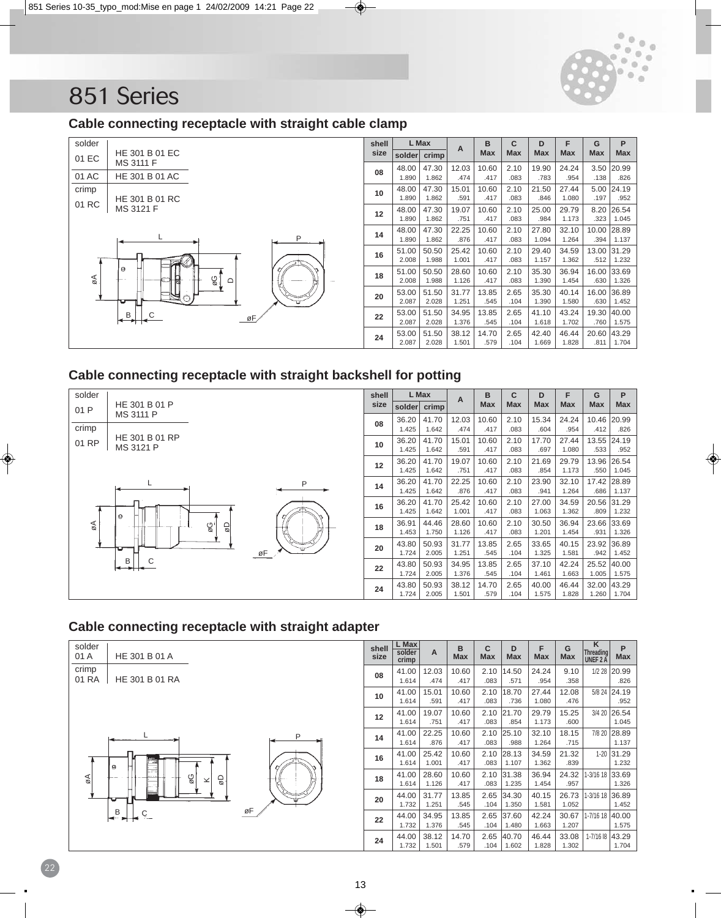

### **Cable connecting receptacle with straight cable clamp**

| solder |                                     | shell |                | L Max          | A              | B             | C            | D              | F              | G                   | P                       |
|--------|-------------------------------------|-------|----------------|----------------|----------------|---------------|--------------|----------------|----------------|---------------------|-------------------------|
| 01 EC  | HE 301 B 01 EC<br>MS 3111 F         | size  | solder         | crimp          |                | <b>Max</b>    | Max          | Max            | <b>Max</b>     | <b>Max</b>          | Max                     |
| 01 AC  | HE 301 B 01 AC                      | 08    | 48.00<br>1.890 | 47.30<br>1.862 | 12.03<br>.474  | 10.60<br>.417 | 2.10<br>.083 | 19.90<br>.783  | 24.24<br>.954  | 3.50<br>.138        | 20.99<br>.826           |
| crimp  | HE 301 B 01 RC                      | 10    | 48.00<br>1.890 | 47.30<br>1.862 | 15.01<br>.591  | 10.60<br>.417 | 2.10<br>.083 | 21.50<br>.846  | 27.44<br>1.080 | 5.00<br>.197        | 24.19<br>.952           |
| 01 RC  | MS 3121 F                           | 12    | 48.00<br>1.890 | 47.30<br>1.862 | 19.07<br>.751  | 10.60<br>.417 | 2.10<br>.083 | 25.00<br>.984  | 29.79<br>1.173 | 8.20<br>.323        | 26.54<br>1.045          |
|        | P                                   | 14    | 48.00<br>1.890 | 47.30<br>1.862 | 22.25<br>.876  | 10.60<br>.417 | 2.10<br>.083 | 27.80<br>1.094 | 32.10<br>1.264 | 10.00<br>.394       | 28.89<br>1.137          |
|        | ≪∟∂                                 | 16    | 51.00<br>2.008 | 50.50<br>1.988 | 25.42<br>1.001 | 10.60<br>.417 | 2.10<br>.083 | 29.40<br>1.157 | 34.59<br>1.362 | 13.00<br>.512       | 31.29<br>1.232          |
| øΑ     | 9<br>$\frac{1}{\sqrt{2}}$<br>$\Box$ | 18    | 51.00<br>2.008 | 50.50<br>1.988 | 28.60<br>1.126 | 10.60<br>.417 | 2.10<br>.083 | 35.30<br>1.390 | 36.94<br>1.454 | 16.00<br>.630       | 33.69<br>1.326          |
|        |                                     | 20    | 53.00<br>2.087 | 51.50<br>2.028 | 31.77<br>1.251 | 13.85<br>.545 | 2.65<br>.104 | 35.30<br>1.390 | 40.14<br>1.580 | 16.00<br>.630       | 36.89<br>1.452          |
|        | В<br>øF                             | 22    | 53.00<br>2.087 | 51.50<br>2.028 | 34.95<br>1.376 | 13.85<br>.545 | 2.65<br>.104 | 41.10<br>1.618 | 43.24<br>1.702 | 19.30 40.00<br>.760 | 1.575                   |
|        |                                     | 24    | 53.00<br>2.087 | 51.50<br>2.028 | 38.12<br>1.501 | 14.70<br>.579 | 2.65<br>.104 | 42.40<br>1.669 | 46.44<br>1.828 | 20.60               | 43.29<br>$.811$   1.704 |

### **Cable connecting receptacle with straight backshell for potting**



## **Cable connecting receptacle with straight adapter**

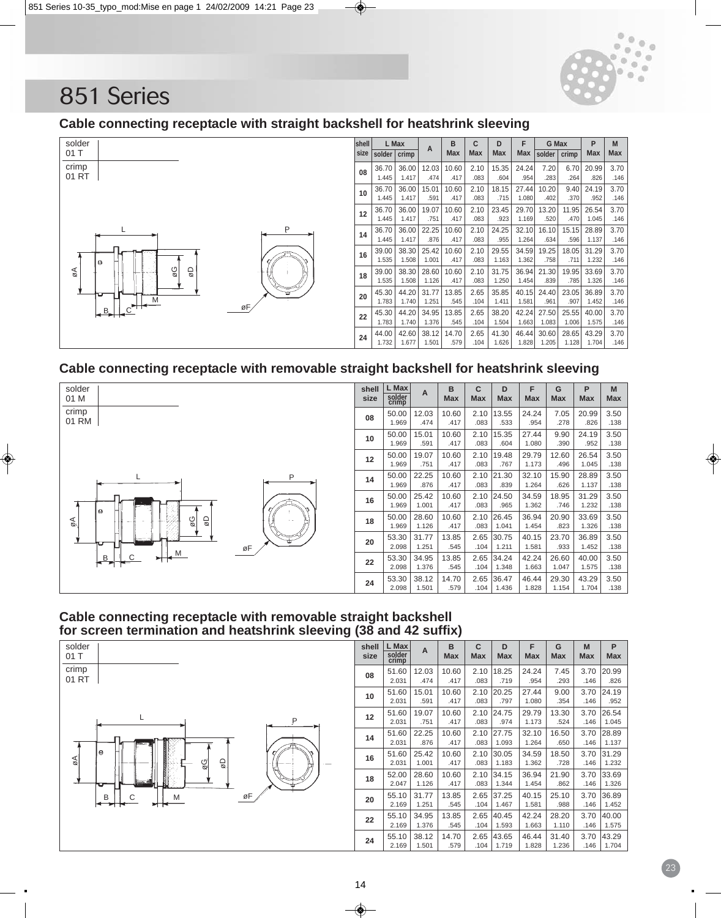

### **Cable connecting receptacle with straight backshell for heatshrink sleeving**



#### **Cable connecting receptacle with removable straight backshell for heatshrink sleeving**



#### **Cable connecting receptacle with removable straight backshell for screen termination and heatshrink sleeving (38 and 42 suffix)**



| shell<br>size | L Max<br>solder<br>crimp | A     | B<br><b>Max</b> | C<br><b>Max</b> | D<br><b>Max</b> | F<br><b>Max</b> | G<br><b>Max</b> | M<br><b>Max</b> | P<br><b>Max</b> |
|---------------|--------------------------|-------|-----------------|-----------------|-----------------|-----------------|-----------------|-----------------|-----------------|
| 08            | 51.60                    | 12.03 | 10.60           | 2.10            | 18.25           | 24.24           | 7.45            | 3.70            | 20.99           |
|               | 2.031                    | .474  | .417            | .083            | .719            | .954            | .293            | .146            | .826            |
| 10            | 51.60                    | 15.01 | 10.60           | 2.10            | 20.25           | 27.44           | 9.00            | 3.70            | 24.19           |
|               | 2.031                    | .591  | .417            | .083            | .797            | 1.080           | .354            | .146            | .952            |
| 12            | 51.60                    | 19.07 | 10.60           | 2.10            | 24.75           | 29.79           | 13.30           | 3.70            | 26.54           |
|               | 2.031                    | .751  | .417            | .083            | .974            | 1.173           | .524            | .146            | 1.045           |
| 14            | 51.60                    | 22.25 | 10.60           | 2.10            | 27.75           | 32.10           | 16.50           | 3.70            | 28.89           |
|               | 2.031                    | .876  | .417            | .083            | 1.093           | 1.264           | .650            | .146            | 1.137           |
| 16            | 51.60                    | 25.42 | 10.60           | 2.10            | 30.05           | 34.59           | 18.50           | 3.70            | 31.29           |
|               | 2.031                    | 1.001 | .417            | .083            | 1.183           | 1.362           | .728            | .146            | 1.232           |
| 18            | 52.00                    | 28.60 | 10.60           | 2.10            | 34.15           | 36.94           | 21.90           | 3.70            | 33.69           |
|               | 2.047                    | 1.126 | .417            | .083            | 1.344           | 1.454           | .862            | .146            | 1.326           |
| 20            | 55.10                    | 31.77 | 13.85           | 2.65            | 37.25           | 40.15           | 25.10           | 3.70            | 36.89           |
|               | 2.169                    | 1.251 | .545            | .104            | 1.467           | 1.581           | .988            | .146            | 1.452           |
| 22            | 55.10                    | 34.95 | 13.85           | 2.65            | 40.45           | 42.24           | 28.20           | 3.70            | 40.00           |
|               | 2.169                    | 1.376 | .545            | .104            | 1.593           | 1.663           | 1.110           | .146            | 1.575           |
| 24            | 55.10                    | 38.12 | 14.70           | 2.65            | 43.65           | 46.44           | 31.40           | 3.70            | 43.29           |
|               | 2.169                    | 1.501 | .579            | .104            | 1.719           | 1.828           | 1.236           | .146            | 1.704           |

1.128 | 1.732 | 1.677 | 1.501 | 1.626 | 1.628 | 1.732 | 1.677 | 1.501 | 1.732 | 1.677 | 1.501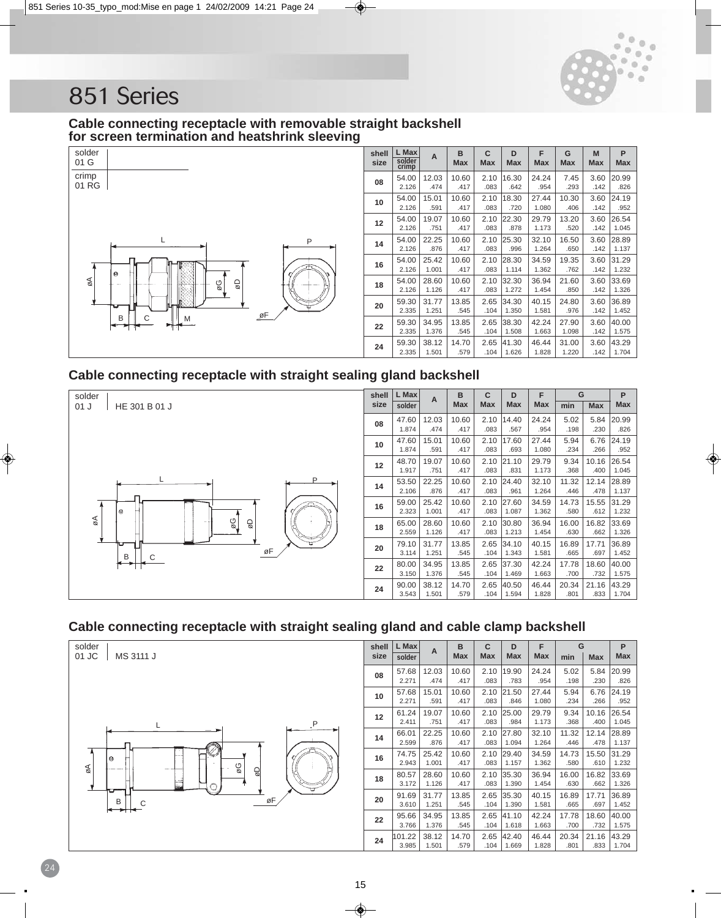![](_page_14_Picture_0.jpeg)

#### **Cable connecting receptacle with removable straight backshell for screen termination and heatshrink sleeving**

![](_page_14_Figure_3.jpeg)

| shell<br>size | L Max<br>solder<br>crimp | A     | в<br><b>Max</b> | С<br><b>Max</b> | D<br><b>Max</b> | F<br><b>Max</b> | G<br><b>Max</b> | M<br><b>Max</b> | P<br><b>Max</b> |
|---------------|--------------------------|-------|-----------------|-----------------|-----------------|-----------------|-----------------|-----------------|-----------------|
| 08            | 54.00                    | 12.03 | 10.60           | 2.10            | 16.30           | 24.24           | 7.45            | 3.60            | 20.99           |
|               | 2.126                    | .474  | .417            | .083            | .642            | .954            | .293            | .142            | .826            |
| 10            | 54.00                    | 15.01 | 10.60           | 2.10            | 18.30           | 27.44           | 10.30           | 3.60            | 24.19           |
|               | 2.126                    | .591  | .417            | .083            | .720            | 1.080           | .406            | .142            | .952            |
| 12            | 54.00                    | 19.07 | 10.60           | 2.10            | 22.30           | 29.79           | 13.20           | 3.60            | 26.54           |
|               | 2.126                    | .751  | .417            | .083            | .878            | 1.173           | .520            | .142            | 1.045           |
| 14            | 54.00                    | 22.25 | 10.60           | 2.10            | 25.30           | 32.10           | 16.50           | 3.60            | 28.89           |
|               | 2.126                    | .876  | .417            | .083            | .996            | 1.264           | .650            | .142            | 1.137           |
| 16            | 54.00                    | 25.42 | 10.60           | 2.10            | 28.30           | 34.59           | 19.35           | 3.60            | 31.29           |
|               | 2.126                    | 1.001 | .417            | .083            | 1.114           | 1.362           | .762            | .142            | 1.232           |
| 18            | 54.00                    | 28.60 | 10.60           | 2.10            | 32.30           | 36.94           | 21.60           | 3.60            | 33.69           |
|               | 2.126                    | 1.126 | .417            | .083            | 1.272           | 1.454           | .850            | .142            | 1.326           |
| 20            | 59.30                    | 31.77 | 13.85           | 2.65            | 34.30           | 40.15           | 24.80           | 3.60            | 36.89           |
|               | 2.335                    | 1.251 | .545            | .104            | 1.350           | 1.581           | .976            | .142            | 1.452           |
| 22            | 59.30                    | 34.95 | 13.85           | 2.65            | 38.30           | 42.24           | 27.90           | 3.60            | 40.00           |
|               | 2.335                    | 1.376 | .545            | .104            | 1.508           | 1.663           | 1.098           | .142            | 1.575           |
| 24            | 59.30                    | 38.12 | 14.70           | 2.65            | 41.30           | 46.44           | 31.00           | 3.60            | 43.29           |
|               | 2.335                    | 1.501 | .579            | .104            | 1.626           | 1.828           | 1.220           | .142            | 1.704           |

## **Cable connecting receptacle with straight sealing gland backshell**

![](_page_14_Figure_6.jpeg)

## **Cable connecting receptacle with straight sealing gland and cable clamp backshell**

![](_page_14_Figure_8.jpeg)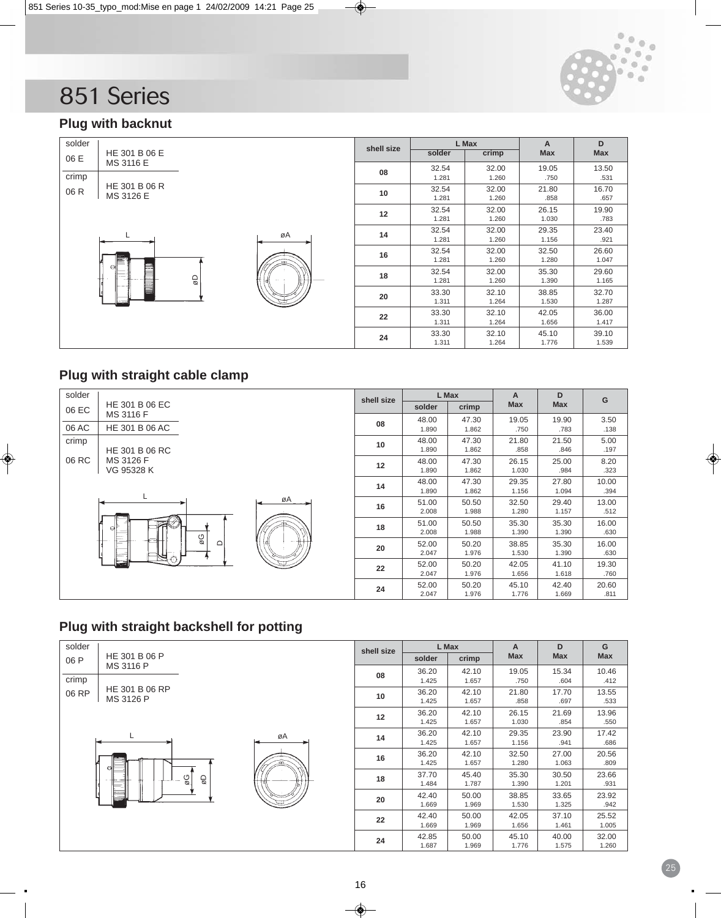![](_page_15_Picture_0.jpeg)

# **Plug with backnut**

| solder |               |              |    | shell size |        | L Max | A          | D     |
|--------|---------------|--------------|----|------------|--------|-------|------------|-------|
| 06 E   | HE 301 B 06 E |              |    |            | solder | crimp | <b>Max</b> | Max   |
|        | MS 3116 E     |              |    | 08         | 32.54  | 32.00 | 19.05      | 13.50 |
| crimp  |               |              |    |            | 1.281  | 1.260 | .750       | .531  |
| 06 R   | HE 301 B 06 R |              |    | 10         | 32.54  | 32.00 | 21.80      | 16.70 |
|        | MS 3126 E     |              |    |            | 1.281  | 1.260 | .858       | .657  |
|        |               |              |    | 12         | 32.54  | 32.00 | 26.15      | 19.90 |
|        |               |              |    |            | 1.281  | 1.260 | 1.030      | .783  |
|        |               |              | øA | 14         | 32.54  | 32.00 | 29.35      | 23.40 |
|        |               |              |    |            | 1.281  | 1.260 | 1.156      | .921  |
|        |               |              |    | 16         | 32.54  | 32.00 | 32.50      | 26.60 |
|        | $\Theta$      |              |    |            | 1.281  | 1.260 | 1.280      | 1.047 |
|        |               |              |    | 18         | 32.54  | 32.00 | 35.30      | 29.60 |
|        |               | $\mathsf{Q}$ |    |            | 1.281  | 1.260 | 1.390      | 1.165 |
|        |               |              |    | 20         | 33.30  | 32.10 | 38.85      | 32.70 |
|        |               |              |    |            | 1.311  | 1.264 | 1.530      | 1.287 |
|        |               |              |    | 22         | 33.30  | 32.10 | 42.05      | 36.00 |
|        |               |              |    |            | 1.311  | 1.264 | 1.656      | 1.417 |
|        |               |              |    | 24         | 33.30  | 32.10 | 45.10      | 39.10 |
|        |               |              |    |            | 1.311  | 1.264 | 1.776      | 1.539 |

# **Plug with straight cable clamp**

| solder |                |        | shell size |        | L Max | Α          | D          | G     |
|--------|----------------|--------|------------|--------|-------|------------|------------|-------|
| 06 EC  | HE 301 B 06 EC |        |            | solder | crimp | <b>Max</b> | <b>Max</b> |       |
|        | MS 3116 F      |        | 08         | 48.00  | 47.30 | 19.05      | 19.90      | 3.50  |
| 06 AC  | HE 301 B 06 AC |        |            | 1.890  | 1.862 | .750       | .783       | .138  |
| crimp  |                |        | 10         | 48.00  | 47.30 | 21.80      | 21.50      | 5.00  |
|        | HE 301 B 06 RC |        |            | 1.890  | 1.862 | .858       | .846       | .197  |
| 06 RC  | MS 3126 F      |        | 12         | 48.00  | 47.30 | 26.15      | 25.00      | 8.20  |
|        | VG 95328 K     |        |            | 1.890  | 1.862 | 1.030      | .984       | .323  |
|        |                |        | 14         | 48.00  | 47.30 | 29.35      | 27.80      | 10.00 |
|        |                |        |            | 1.890  | 1.862 | 1.156      | 1.094      | .394  |
|        |                | øA     | 16         | 51.00  | 50.50 | 32.50      | 29.40      | 13.00 |
|        |                |        |            | 2.008  | 1.988 | 1.280      | 1.157      | .512  |
|        | ₩<br>еľ        |        | 18         | 51.00  | 50.50 | 35.30      | 35.30      | 16.00 |
|        | ΘØ             |        |            | 2.008  | 1.988 | 1.390      | 1.390      | .630  |
|        |                | $\Box$ | 20         | 52.00  | 50.20 | 38.85      | 35.30      | 16.00 |
|        |                |        |            | 2.047  | 1.976 | 1.530      | 1.390      | .630  |
|        | ندة            |        | 22         | 52.00  | 50.20 | 42.05      | 41.10      | 19.30 |
|        |                |        |            | 2.047  | 1.976 | 1.656      | 1.618      | .760  |
|        |                |        | 24         | 52.00  | 50.20 | 45.10      | 42.40      | 20.60 |
|        |                |        |            | 2.047  | 1.976 | 1.776      | 1.669      | .811  |

# **Plug with straight backshell for potting**

| solder |                             |          |    | shell size |        | L Max | A          | D          | G          |
|--------|-----------------------------|----------|----|------------|--------|-------|------------|------------|------------|
| 06 P   | HE 301 B 06 P               |          |    |            | solder | crimp | <b>Max</b> | <b>Max</b> | <b>Max</b> |
|        | MS 3116 P                   |          |    | 08         | 36.20  | 42.10 | 19.05      | 15.34      | 10.46      |
| crimp  |                             |          |    |            | 1.425  | 1.657 | .750       | .604       | .412       |
| 06 RP  | HE 301 B 06 RP<br>MS 3126 P |          |    | 10         | 36.20  | 42.10 | 21.80      | 17.70      | 13.55      |
|        |                             |          |    |            | 1.425  | 1.657 | .858       | .697       | .533       |
|        |                             |          |    | 12         | 36.20  | 42.10 | 26.15      | 21.69      | 13.96      |
|        |                             |          |    |            | 1.425  | 1.657 | 1.030      | .854       | .550       |
|        |                             |          | øA | 14         | 36.20  | 42.10 | 29.35      | 23.90      | 17.42      |
|        |                             |          |    |            | 1.425  | 1.657 | 1.156      | .941       | .686       |
|        |                             |          |    | 16         | 36.20  | 42.10 | 32.50      | 27.00      | 20.56      |
|        | Θ                           |          |    |            | 1.425  | 1.657 | 1.280      | 1.063      | .809       |
|        |                             | Οg<br>9D |    | 18         | 37.70  | 45.40 | 35.30      | 30.50      | 23.66      |
|        |                             |          |    |            | 1.484  | 1.787 | 1.390      | 1.201      | .931       |
|        |                             |          |    | 20         | 42.40  | 50.00 | 38.85      | 33.65      | 23.92      |
|        |                             |          |    |            | 1.669  | 1.969 | 1.530      | 1.325      | .942       |
|        |                             |          |    | 22         | 42.40  | 50.00 | 42.05      | 37.10      | 25.52      |
|        |                             |          |    |            | 1.669  | 1.969 | 1.656      | 1.461      | 1.005      |
|        |                             |          |    |            | 42.85  | 50.00 | 45.10      | 40.00      | 32.00      |
|        |                             |          |    | 24         | 1.687  | 1.969 | 1.776      | 1.575      | 1.260      |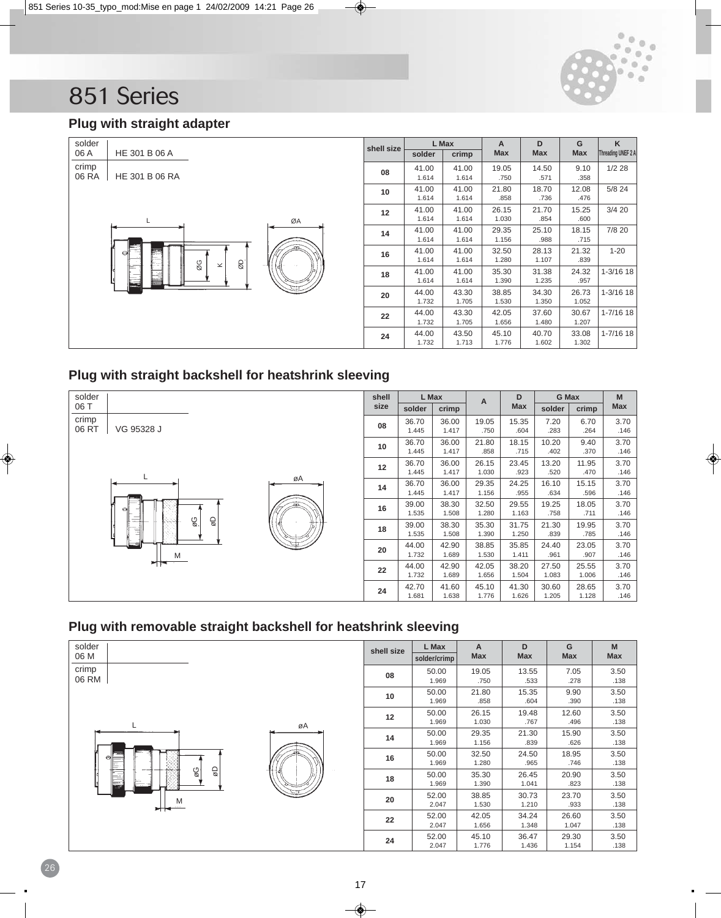![](_page_16_Picture_0.jpeg)

# **Plug with straight adapter**

| solder |                                     | shell size |        | L Max | A          | D          | G          | K                  |
|--------|-------------------------------------|------------|--------|-------|------------|------------|------------|--------------------|
| 06 A   | HE 301 B 06 A                       |            | solder | crimp | <b>Max</b> | <b>Max</b> | <b>Max</b> | Threading UNEF 2 A |
| crimp  |                                     | 08         | 41.00  | 41.00 | 19.05      | 14.50      | 9.10       | 1/228              |
| 06 RA  | HE 301 B 06 RA                      |            | 1.614  | 1.614 | .750       | .571       | .358       |                    |
|        |                                     | 10         | 41.00  | 41.00 | 21.80      | 18.70      | 12.08      | 5/8 24             |
|        |                                     |            | 1.614  | 1.614 | .858       | .736       | .476       |                    |
|        |                                     | 12         | 41.00  | 41.00 | 26.15      | 21.70      | 15.25      | 3/420              |
|        | L<br>ØA                             |            | 1.614  | 1.614 | 1.030      | .854       | .600       |                    |
|        |                                     | 14         | 41.00  | 41.00 | 29.35      | 25.10      | 18.15      | 7/8 20             |
|        |                                     |            | 1.614  | 1.614 | 1.156      | .988       | .715       |                    |
|        | æ<br>⊖                              | 16         | 41.00  | 41.00 | 32.50      | 28.13      | 21.32      | $1 - 20$           |
|        | $\overline{\omega}$<br>ØG<br>$\leq$ |            | 1.614  | 1.614 | 1.280      | 1.107      | .839       |                    |
|        | ⊫                                   | 18         | 41.00  | 41.00 | 35.30      | 31.38      | 24.32      | $1 - 3/16$ 18      |
|        |                                     |            | 1.614  | 1.614 | 1.390      | 1.235      | .957       |                    |
|        |                                     | 20         | 44.00  | 43.30 | 38.85      | 34.30      | 26.73      | $1 - 3/16$ 18      |
|        |                                     |            | 1.732  | 1.705 | 1.530      | 1.350      | 1.052      |                    |
|        |                                     | 22         | 44.00  | 43.30 | 42.05      | 37.60      | 30.67      | $1 - 7/16$ 18      |
|        |                                     |            | 1.732  | 1.705 | 1.656      | 1.480      | 1.207      |                    |
|        |                                     | 24         | 44.00  | 43.50 | 45.10      | 40.70      | 33.08      | $1 - 7/16$ 18      |
|        |                                     |            | 1.732  | 1.713 | 1.776      | 1.602      | 1.302      |                    |

## **Plug with straight backshell for heatshrink sleeving**

![](_page_16_Figure_5.jpeg)

## **Plug with removable straight backshell for heatshrink sleeving**

![](_page_16_Figure_7.jpeg)

| shell size | L Max        | A          | D          | G          | M          |
|------------|--------------|------------|------------|------------|------------|
|            | solder/crimp | <b>Max</b> | <b>Max</b> | <b>Max</b> | <b>Max</b> |
| 08         | 50.00        | 19.05      | 13.55      | 7.05       | 3.50       |
|            | 1.969        | .750       | .533       | .278       | .138       |
| 10         | 50.00        | 21.80      | 15.35      | 9.90       | 3.50       |
|            | 1.969        | .858       | .604       | .390       | .138       |
| 12         | 50.00        | 26.15      | 19.48      | 12.60      | 3.50       |
|            | 1.969        | 1.030      | .767       | .496       | .138       |
| 14         | 50.00        | 29.35      | 21.30      | 15.90      | 3.50       |
|            | 1.969        | 1.156      | .839       | .626       | .138       |
| 16         | 50.00        | 32.50      | 24.50      | 18.95      | 3.50       |
|            | 1.969        | 1.280      | .965       | .746       | .138       |
| 18         | 50.00        | 35.30      | 26.45      | 20.90      | 3.50       |
|            | 1.969        | 1.390      | 1.041      | .823       | .138       |
| 20         | 52.00        | 38.85      | 30.73      | 23.70      | 3.50       |
|            | 2.047        | 1.530      | 1.210      | .933       | .138       |
|            | 52.00        | 42.05      | 34.24      | 26.60      | 3.50       |
| 22         | 2.047        | 1.656      | 1.348      | 1.047      | .138       |
|            | 52.00        | 45.10      | 36.47      | 29.30      | 3.50       |
| 24         | 2.047        | 1.776      | 1.436      | 1.154      | .138       |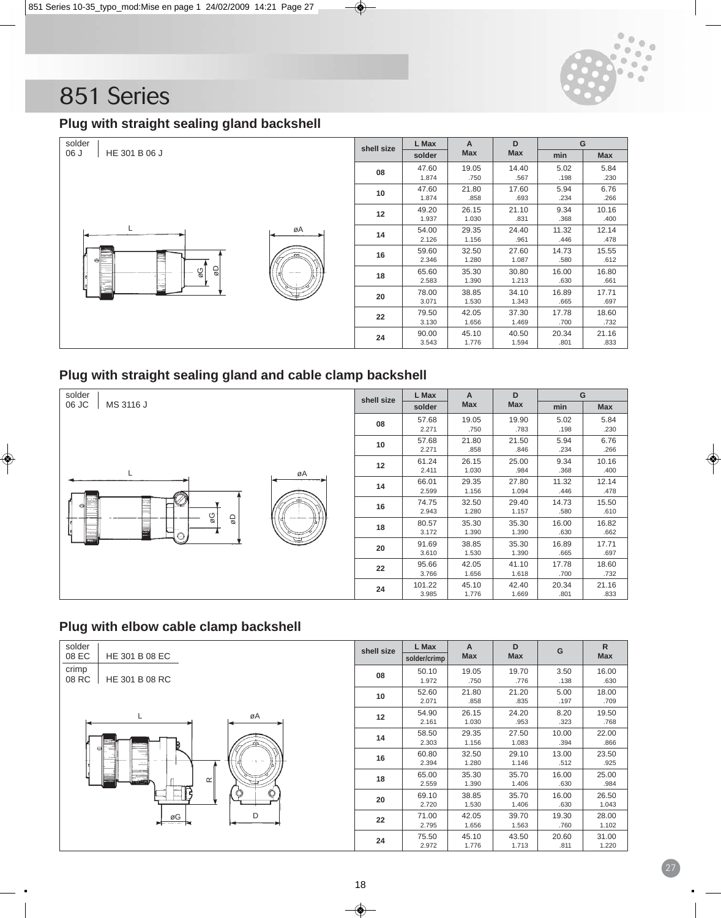![](_page_17_Picture_0.jpeg)

# **Plug with straight sealing gland backshell**

| solder                | shell size | L Max          | A              | D              |               | G             |
|-----------------------|------------|----------------|----------------|----------------|---------------|---------------|
| HE 301 B 06 J<br>06 J |            | solder         | Max            | <b>Max</b>     | min           | <b>Max</b>    |
|                       | 08         | 47.60<br>1.874 | 19.05<br>.750  | 14.40<br>.567  | 5.02<br>.198  | 5.84<br>.230  |
|                       | 10         | 47.60<br>1.874 | 21.80<br>.858  | 17.60<br>.693  | 5.94<br>.234  | 6.76<br>.266  |
|                       | 12         | 49.20<br>1.937 | 26.15<br>1.030 | 21.10<br>.831  | 9.34<br>.368  | 10.16<br>.400 |
| øA                    | 14         | 54.00<br>2.126 | 29.35<br>1.156 | 24.40<br>.961  | 11.32<br>.446 | 12.14<br>.478 |
| త≣                    | 16         | 59.60<br>2.346 | 32.50<br>1.280 | 27.60<br>1.087 | 14.73<br>.580 | 15.55<br>.612 |
| g<br>Ø<br>9g          | 18         | 65.60<br>2.583 | 35.30<br>1.390 | 30.80<br>1.213 | 16.00<br>.630 | 16.80<br>.661 |
|                       | 20         | 78.00<br>3.071 | 38.85<br>1.530 | 34.10<br>1.343 | 16.89<br>.665 | 17.71<br>.697 |
|                       | 22         | 79.50<br>3.130 | 42.05<br>1.656 | 37.30<br>1.469 | 17.78<br>.700 | 18.60<br>.732 |
|                       | 24         | 90.00<br>3.543 | 45.10<br>1.776 | 40.50<br>1.594 | 20.34<br>.801 | 21.16<br>.833 |

# **Plug with straight sealing gland and cable clamp backshell**

| solder             | shell size | L Max           | A              | D              | G             |               |
|--------------------|------------|-----------------|----------------|----------------|---------------|---------------|
| 06 JC<br>MS 3116 J |            | solder          | Max            | <b>Max</b>     | min           | Max           |
|                    | 08         | 57.68<br>2.271  | 19.05<br>.750  | 19.90<br>.783  | 5.02<br>.198  | 5.84<br>.230  |
|                    | 10         | 57.68<br>2.271  | 21.80<br>.858  | 21.50<br>.846  | 5.94<br>.234  | 6.76<br>.266  |
| øA                 | 12         | 61.24<br>2.411  | 26.15<br>1.030 | 25.00<br>.984  | 9.34<br>.368  | 10.16<br>.400 |
|                    | 14         | 66.01<br>2.599  | 29.35<br>1.156 | 27.80<br>1.094 | 11.32<br>.446 | 12.14<br>.478 |
| «<br>⊖<br>ΘØ       | 16         | 74.75<br>2.943  | 32.50<br>1.280 | 29.40<br>1.157 | 14.73<br>.580 | 15.50<br>.610 |
| 9D                 | 18         | 80.57<br>3.172  | 35.30<br>1.390 | 35.30<br>1.390 | 16.00<br>.630 | 16.82<br>.662 |
| د                  | 20         | 91.69<br>3.610  | 38.85<br>1.530 | 35.30<br>1.390 | 16.89<br>.665 | 17.71<br>.697 |
|                    | 22         | 95.66<br>3.766  | 42.05<br>1.656 | 41.10<br>1.618 | 17.78<br>.700 | 18.60<br>.732 |
|                    | 24         | 101.22<br>3.985 | 45.10<br>1.776 | 42.40<br>1.669 | 20.34<br>.801 | 21.16<br>.833 |

## **Plug with elbow cable clamp backshell**

| solder<br>08 EC<br>HE 301 B 08 EC | shell size | L Max<br>solder/crimp | A<br><b>Max</b> | D<br><b>Max</b> | G             | $\mathsf{R}$<br><b>Max</b> |
|-----------------------------------|------------|-----------------------|-----------------|-----------------|---------------|----------------------------|
| crimp<br>08 RC<br>HE 301 B 08 RC  | 08         | 50.10<br>1.972        | 19.05<br>.750   | 19.70<br>.776   | 3.50<br>.138  | 16.00<br>.630              |
|                                   | 10         | 52.60<br>2.071        | 21.80<br>.858   | 21.20<br>.835   | 5.00<br>.197  | 18.00<br>.709              |
| øA<br>L.                          | 12         | 54.90<br>2.161        | 26.15<br>1.030  | 24.20<br>.953   | 8.20<br>.323  | 19.50<br>.768              |
| 6I                                | 14         | 58.50<br>2.303        | 29.35<br>1.156  | 27.50<br>1.083  | 10.00<br>.394 | 22.00<br>.866              |
| $\overline{\phantom{a}}$          | 16         | 60.80<br>2.394        | 32.50<br>1.280  | 29.10<br>1.146  | 13.00<br>.512 | 23.50<br>.925              |
| $\simeq$<br>كانف                  | 18         | 65.00<br>2.559        | 35.30<br>1.390  | 35.70<br>1.406  | 16.00<br>.630 | 25.00<br>.984              |
| ę<br>C                            | 20         | 69.10<br>2.720        | 38.85<br>1.530  | 35.70<br>1.406  | 16.00<br>.630 | 26.50<br>1.043             |
| D<br>øG<br>$- - - -$              | 22         | 71.00<br>2.795        | 42.05<br>1.656  | 39.70<br>1.563  | 19.30<br>.760 | 28.00<br>1.102             |
|                                   | 24         | 75.50<br>2.972        | 45.10<br>1.776  | 43.50<br>1.713  | 20.60<br>.811 | 31.00<br>1.220             |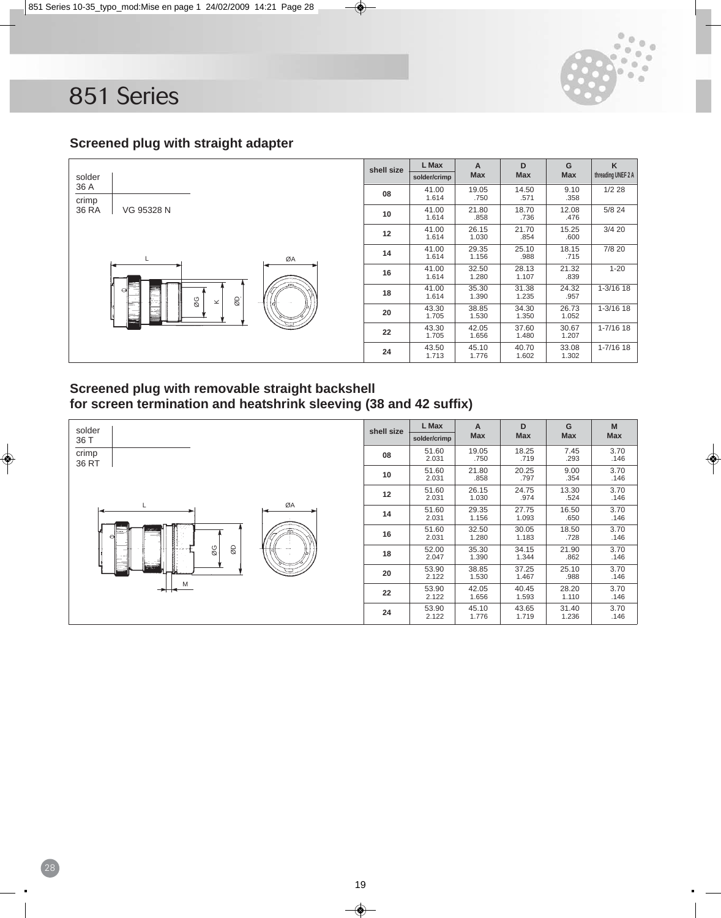28

![](_page_18_Picture_1.jpeg)

### **Screened plug with straight adapter**

![](_page_18_Figure_3.jpeg)

### **Screened plug with removable straight backshell for screen termination and heatshrink sleeving (38 and 42 suffix)**

![](_page_18_Figure_5.jpeg)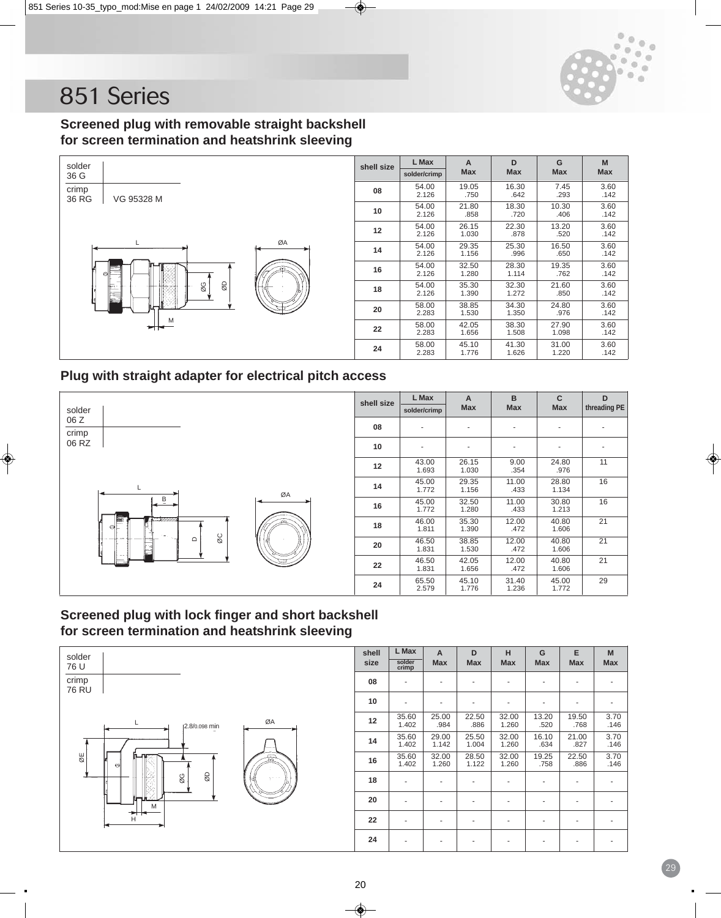![](_page_19_Picture_0.jpeg)

### **Screened plug with removable straight backshell for screen termination and heatshrink sleeving**

![](_page_19_Figure_3.jpeg)

| shell size | L Max        | A          |            | G          | M          |
|------------|--------------|------------|------------|------------|------------|
|            | solder/crimp | <b>Max</b> | <b>Max</b> | <b>Max</b> | <b>Max</b> |
| 08         | 54.00        | 19.05      | 16.30      | 7.45       | 3.60       |
|            | 2.126        | .750       | .642       | .293       | .142       |
| 10         | 54.00        | 21.80      | 18.30      | 10.30      | 3.60       |
|            | 2.126        | .858       | .720       | .406       | .142       |
| 12         | 54.00        | 26.15      | 22.30      | 13.20      | 3.60       |
|            | 2.126        | 1.030      | .878       | .520       | .142       |
| 14         | 54.00        | 29.35      | 25.30      | 16.50      | 3.60       |
|            | 2.126        | 1.156      | .996       | .650       | .142       |
| 16         | 54.00        | 32.50      | 28.30      | 19.35      | 3.60       |
|            | 2.126        | 1.280      | 1.114      | .762       | .142       |
| 18         | 54.00        | 35.30      | 32.30      | 21.60      | 3.60       |
|            | 2.126        | 1.390      | 1.272      | .850       | .142       |
| 20         | 58.00        | 38.85      | 34.30      | 24.80      | 3.60       |
|            | 2.283        | 1.530      | 1.350      | .976       | .142       |
| 22         | 58.00        | 42.05      | 38.30      | 27.90      | 3.60       |
|            | 2.283        | 1.656      | 1.508      | 1.098      | .142       |
| 24         | 58.00        | 45.10      | 41.30      | 31.00      | 3.60       |
|            | 2.283        | 1.776      | 1.626      | 1.220      | .142       |

### **Plug with straight adapter for electrical pitch access**

![](_page_19_Figure_6.jpeg)

| shell size | L Max<br>solder/crimp | A<br><b>Max</b> | B<br><b>Max</b> | C<br><b>Max</b> | D<br>threading PE |
|------------|-----------------------|-----------------|-----------------|-----------------|-------------------|
| 08         |                       |                 |                 |                 |                   |
| 10         |                       |                 |                 |                 |                   |
| 12         | 43.00<br>1.693        | 26.15<br>1.030  | 9.00<br>.354    | 24.80<br>.976   | 11                |
| 14         | 45.00<br>1.772        | 29.35<br>1.156  | 11.00<br>.433   | 28.80<br>1.134  | 16                |
| 16         | 45.00<br>1.772        | 32.50<br>1.280  | 11.00<br>.433   | 30.80<br>1.213  | 16                |
| 18         | 46.00<br>1.811        | 35.30<br>1.390  | 12.00<br>.472   | 40.80<br>1.606  | 21                |
| 20         | 46.50<br>1.831        | 38.85<br>1.530  | 12.00<br>.472   | 40.80<br>1.606  | 21                |
| 22         | 46.50<br>1.831        | 42.05<br>1.656  | 12.00<br>.472   | 40.80<br>1.606  | 21                |
| 24         | 65.50<br>2.579        | 45.10<br>1.776  | 31.40<br>1.236  | 45.00<br>1.772  | 29                |

### **Screened plug with lock finger and short backshell for screen termination and heatshrink sleeving**

![](_page_19_Figure_9.jpeg)

| shell<br>size | L Max<br>solder<br>crimp | A<br><b>Max</b> | D<br><b>Max</b> | н<br><b>Max</b> | G<br><b>Max</b> | E<br><b>Max</b> | M<br><b>Max</b> |
|---------------|--------------------------|-----------------|-----------------|-----------------|-----------------|-----------------|-----------------|
| 08            |                          | ٠               |                 | ٠               | ٠               |                 |                 |
| 10            |                          |                 |                 |                 |                 |                 |                 |
| 12            | 35.60<br>1.402           | 25.00<br>.984   | 22.50<br>.886   | 32.00<br>1.260  | 13.20<br>.520   | 19.50<br>.768   | 3.70<br>.146    |
| 14            | 35.60<br>1.402           | 29.00<br>1.142  | 25.50<br>1.004  | 32.00<br>1.260  | 16.10<br>.634   | 21.00<br>.827   | 3.70<br>.146    |
| 16            | 35.60<br>1.402           | 32.00<br>1.260  | 28.50<br>1.122  | 32.00<br>1.260  | 19.25<br>.758   | 22.50<br>.886   | 3.70<br>.146    |
| 18            |                          |                 |                 |                 | ٠               |                 |                 |
| 20            |                          |                 |                 |                 | ٠               |                 |                 |
| 22            |                          | -               |                 |                 | ٠               |                 |                 |
| 24            |                          |                 |                 |                 |                 |                 |                 |
|               |                          |                 |                 |                 |                 |                 |                 |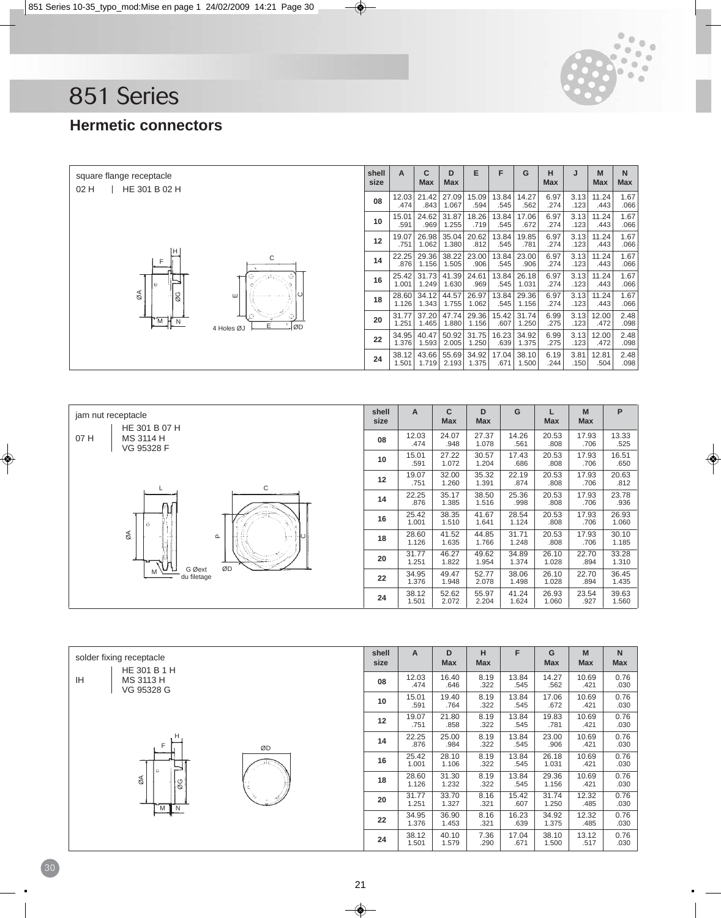![](_page_20_Picture_0.jpeg)

# **Hermetic connectors**

| square flange receptacle<br>HE 301 B 02 H<br>02H | shell<br>size | A              | c<br><b>Max</b> | D<br><b>Max</b> | E              | F             | G              | н<br><b>Max</b> | J            | M<br><b>Max</b> | N<br>Max     |
|--------------------------------------------------|---------------|----------------|-----------------|-----------------|----------------|---------------|----------------|-----------------|--------------|-----------------|--------------|
|                                                  | 08            | 12.03<br>.474  | 21.42<br>.843   | 27.09<br>1.067  | 15.09<br>.594  | 13.84<br>.545 | 14.27<br>.562  | 6.97<br>.274    | 3.13<br>.123 | 11.24<br>.443   | 1.67<br>.066 |
|                                                  | 10            | 15.01<br>.591  | 24.62<br>.969   | 31.87<br>1.255  | 18.26<br>.719  | 13.84<br>.545 | 17.06<br>.672  | 6.97<br>.274    | 3.13<br>.123 | 11.24<br>.443   | 1.67<br>.066 |
|                                                  | 12            | 19.07<br>.751  | 26.98<br>1.062  | 35.04<br>1.380  | 20.62<br>.812  | 13.84<br>.545 | 19.85<br>.781  | 6.97<br>.274    | 3.13<br>.123 | 11.24<br>.443   | 1.67<br>.066 |
| н<br>C<br>F                                      | 14            | 22.25<br>.876  | 29.36<br>1.156  | 38.22<br>1.505  | 23.00<br>.906  | 13.84<br>.545 | 23.00<br>.906  | 6.97<br>.274    | 3.13<br>.123 | 11.24<br>.443   | 1.67<br>.066 |
| l el                                             | 16            | 25.42<br>1.001 | 31.73<br>1.249  | 41.39<br>1.630  | 24.61<br>.969  | 13.84<br>.545 | 26.18<br>1.031 | 6.97<br>.274    | 3.13<br>.123 | 11.24<br>.443   | 1.67<br>.066 |
| ø<br>ØG<br>ш                                     | 18            | 28.60<br>1.126 | 34.12<br>1.343  | 44.57<br>1.755  | 26.97<br>1.062 | 13.84<br>.545 | 29.36<br>1.156 | 6.97<br>.274    | 3.13<br>.123 | 11.24<br>.443   | 1.67<br>.066 |
| E<br>ØD<br>4 Holes ØJ                            | 20            | 31.77<br>1.251 | 37.20<br>1.465  | 47.74<br>1.880  | 29.36<br>1.156 | 15.42<br>.607 | 31.74<br>1.250 | 6.99<br>.275    | 3.13<br>.123 | 12.00<br>.472   | 2.48<br>.098 |
|                                                  | 22            | 34.95<br>1.376 | 40.47<br>1.593  | 50.92<br>2.005  | 31.75<br>1.250 | 16.23<br>.639 | 34.92<br>1.375 | 6.99<br>.275    | 3.13<br>.123 | 12.00<br>.472   | 2.48<br>.098 |
|                                                  | 24            | 38.12<br>1.501 | 43.66<br>1.719  | 55.69<br>2.193  | 34.92<br>1.375 | 17.04<br>.671 | 38.10<br>1.500 | 6.19<br>.244    | 3.81<br>.150 | 12.81<br>.504   | 2.48<br>.098 |

![](_page_20_Figure_4.jpeg)

| solder fixing receptacle<br>HE 301 B 1 H | shell<br>size | A              | D<br><b>Max</b> | н<br><b>Max</b> | F             | G<br><b>Max</b> | M<br><b>Max</b> | $\mathsf{N}$<br>Max |
|------------------------------------------|---------------|----------------|-----------------|-----------------|---------------|-----------------|-----------------|---------------------|
| IH<br>MS 3113 H<br>VG 95328 G            | 08            | 12.03<br>.474  | 16.40<br>.646   | 8.19<br>.322    | 13.84<br>.545 | 14.27<br>.562   | 10.69<br>.421   | 0.76<br>.030        |
|                                          | 10            | 15.01<br>.591  | 19.40<br>.764   | 8.19<br>.322    | 13.84<br>.545 | 17.06<br>.672   | 10.69<br>.421   | 0.76<br>.030        |
|                                          | 12            | 19.07<br>.751  | 21.80<br>.858   | 8.19<br>.322    | 13.84<br>.545 | 19.83<br>.781   | 10.69<br>.421   | 0.76<br>.030        |
| F<br>ØD                                  | 14            | 22.25<br>.876  | 25.00<br>.984   | 8.19<br>.322    | 13.84<br>.545 | 23.00<br>.906   | 10.69<br>.421   | 0.76<br>.030        |
| $\circ$                                  | 16            | 25.42<br>1.001 | 28.10<br>1.106  | 8.19<br>.322    | 13.84<br>.545 | 26.18<br>1.031  | 10.69<br>.421   | 0.76<br>.030        |
| øΑ<br>$\infty$                           | 18            | 28.60<br>1.126 | 31.30<br>1.232  | 8.19<br>.322    | 13.84<br>.545 | 29.36<br>1.156  | 10.69<br>.421   | 0.76<br>.030        |
| M I N                                    | 20            | 31.77<br>1.251 | 33.70<br>1.327  | 8.16<br>.321    | 15.42<br>.607 | 31.74<br>1.250  | 12.32<br>.485   | 0.76<br>.030        |
|                                          | 22            | 34.95<br>1.376 | 36.90<br>1.453  | 8.16<br>.321    | 16.23<br>.639 | 34.92<br>1.375  | 12.32<br>.485   | 0.76<br>.030        |
|                                          | 24            | 38.12<br>1.501 | 40.10<br>1.579  | 7.36<br>.290    | 17.04<br>.671 | 38.10<br>1.500  | 13.12<br>.517   | 0.76<br>.030        |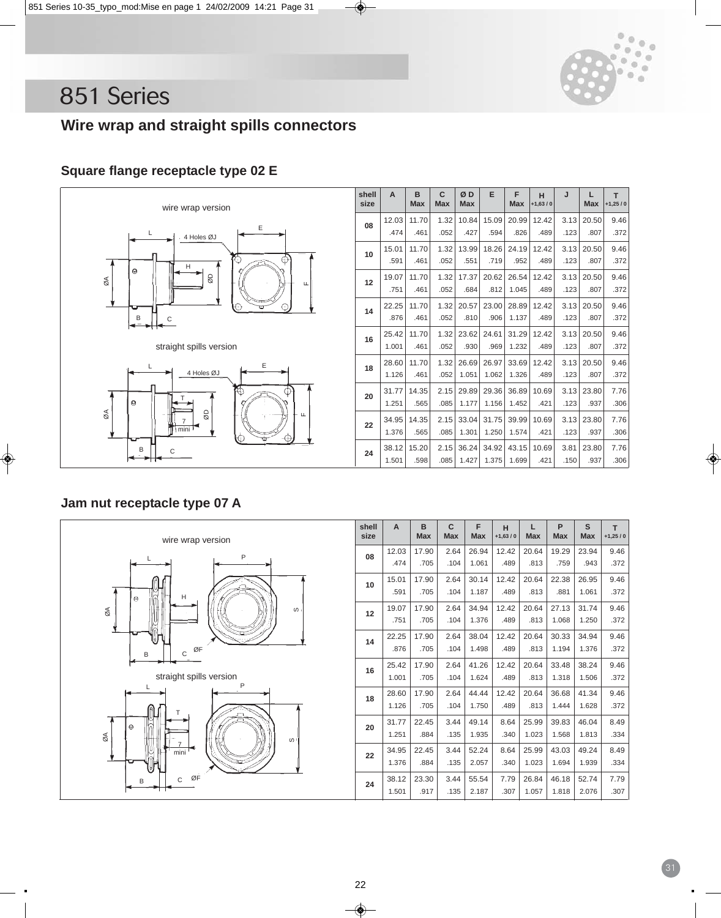![](_page_21_Picture_0.jpeg)

# **Wire wrap and straight spills connectors**

# **Square flange receptacle type 02 E**

![](_page_21_Figure_4.jpeg)

| shell<br>size | A     | B<br><b>Max</b> | C<br><b>Max</b> | ØD<br><b>Max</b> | E     | F<br><b>Max</b> | н<br>$+1,63/0$ | J    | L<br><b>Max</b> | T<br>$+1,25/0$ |
|---------------|-------|-----------------|-----------------|------------------|-------|-----------------|----------------|------|-----------------|----------------|
| 08            | 12.03 | 11.70           | 1.32            | 10.84            | 15.09 | 20.99           | 12.42          | 3.13 | 20.50           | 9.46           |
|               | .474  | .461            | .052            | .427             | .594  | .826            | .489           | .123 | .807            | .372           |
|               | 15.01 | 11.70           | 1.32            | 13.99            | 18.26 | 24.19           | 12.42          | 3.13 | 20.50           | 9.46           |
| 10            | .591  | .461            | .052            | .551             | .719  | .952            | .489           | .123 | .807            | .372           |
|               | 19.07 | 11.70           | 1.32            | 17.37            | 20.62 | 26.54           | 12.42          | 3.13 | 20.50           | 9.46           |
| 12            | .751  | .461            | .052            | .684             | .812  | 1.045           | .489           | .123 | .807            | .372           |
| 14            | 22.25 | 11.70           | 1.32            | 20.57            | 23.00 | 28.89           | 12.42          | 3.13 | 20.50           | 9.46           |
|               | .876  | .461            | .052            | .810             | .906  | 1.137           | .489           | .123 | .807            | .372           |
| 16            | 25.42 | 11.70           | 1.32            | 23.62            | 24.61 | 31.29           | 12.42          | 3.13 | 20.50           | 9.46           |
|               | 1.001 | .461            | .052            | .930             | .969  | 1.232           | .489           | .123 | .807            | .372           |
| 18            | 28.60 | 11.70           | 1.32            | 26.69            | 26.97 | 33.69           | 12.42          | 3.13 | 20.50           | 9.46           |
|               | 1.126 | .461            | .052            | 1.051            | 1.062 | 1.326           | .489           | .123 | .807            | .372           |
| 20            | 31.77 | 14.35           | 2.15            | 29.89            | 29.36 | 36.89           | 10.69          | 3.13 | 23.80           | 7.76           |
|               | 1.251 | .565            | .085            | 1.177            | 1.156 | 1.452           | .421           | .123 | .937            | .306           |
| 22            | 34.95 | 14.35           | 2.15            | 33.04            | 31.75 | 39.99           | 10.69          | 3.13 | 23.80           | 7.76           |
|               | 1.376 | .565            | .085            | 1.301            | 1.250 | 1.574           | .421           | .123 | .937            | .306           |
|               | 38.12 | 15.20           | 2.15            | 36.24            | 34.92 | 43.15           | 10.69          | 3.81 | 23.80           | 7.76           |
| 24            | 1.501 | .598            | .085            | 1.427            | 1.375 | 1.699           | .421           | .150 | .937            | .306           |

## **Jam nut receptacle type 07 A**

![](_page_21_Figure_7.jpeg)

| shell<br>size | A     | B<br><b>Max</b> | $\mathbf{C}$<br><b>Max</b> | F<br><b>Max</b> | н<br>$+1,63/0$ | L<br><b>Max</b> | P<br><b>Max</b> | S<br><b>Max</b> | T<br>$+1,25/0$ |
|---------------|-------|-----------------|----------------------------|-----------------|----------------|-----------------|-----------------|-----------------|----------------|
| 08            | 12.03 | 17.90           | 2.64                       | 26.94           | 12.42          | 20.64           | 19.29           | 23.94           | 9.46           |
|               | .474  | .705            | .104                       | 1.061           | .489           | .813            | .759            | .943            | .372           |
| 10            | 15.01 | 17.90           | 2.64                       | 30.14           | 12.42          | 20.64           | 22.38           | 26.95           | 9.46           |
|               | .591  | .705            | .104                       | 1.187           | .489           | .813            | .881            | 1.061           | .372           |
| 12            | 19.07 | 17.90           | 2.64                       | 34.94           | 12.42          | 20.64           | 27.13           | 31.74           | 9.46           |
|               | .751  | .705            | .104                       | 1.376           | .489           | .813            | 1.068           | 1.250           | .372           |
| 14            | 22.25 | 17.90           | 2.64                       | 38.04           | 12.42          | 20.64           | 30.33           | 34.94           | 9.46           |
|               | .876  | .705            | .104                       | 1.498           | .489           | .813            | 1.194           | 1.376           | .372           |
| 16            | 25.42 | 17.90           | 2.64                       | 41.26           | 12.42          | 20.64           | 33.48           | 38.24           | 9.46           |
|               | 1.001 | .705            | .104                       | 1.624           | .489           | .813            | 1.318           | 1.506           | .372           |
| 18            | 28.60 | 17.90           | 2.64                       | 44.44           | 12.42          | 20.64           | 36.68           | 41.34           | 9.46           |
|               | 1.126 | .705            | .104                       | 1.750           | .489           | .813            | 1.444           | 1.628           | .372           |
| 20            | 31.77 | 22.45           | 3.44                       | 49.14           | 8.64           | 25.99           | 39.83           | 46.04           | 8.49           |
|               | 1.251 | .884            | .135                       | 1.935           | .340           | 1.023           | 1.568           | 1.813           | .334           |
| 22            | 34.95 | 22.45           | 3.44                       | 52.24           | 8.64           | 25.99           | 43.03           | 49.24           | 8.49           |
|               | 1.376 | .884            | .135                       | 2.057           | .340           | 1.023           | 1.694           | 1.939           | .334           |
| 24            | 38.12 | 23.30           | 3.44                       | 55.54           | 7.79           | 26.84           | 46.18           | 52.74           | 7.79           |
|               | 1.501 | .917            | .135                       | 2.187           | .307           | 1.057           | 1.818           | 2.076           | .307           |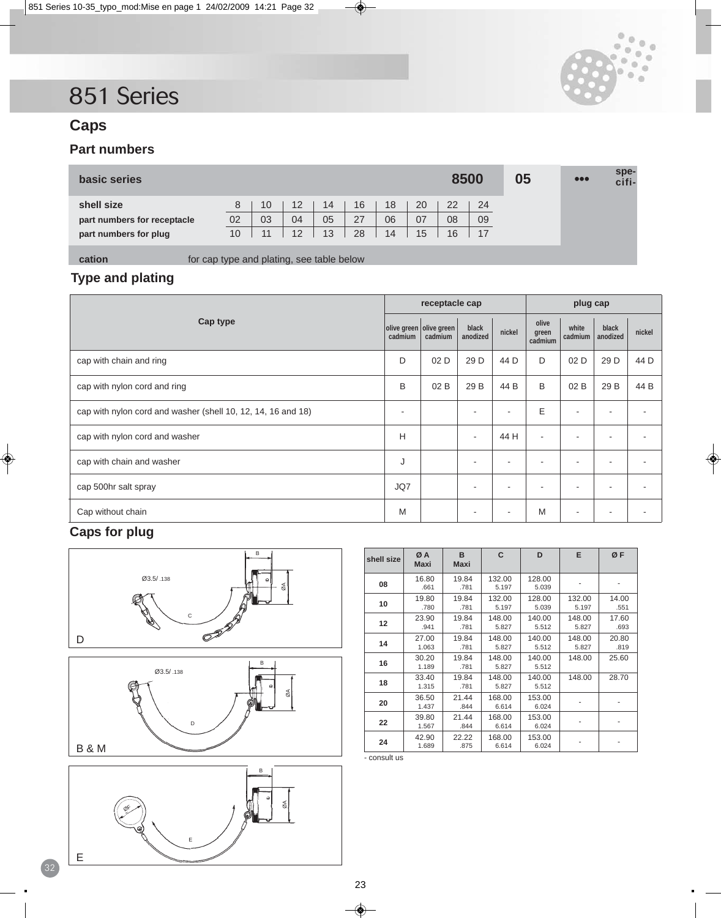![](_page_22_Picture_1.jpeg)

# **Caps**

# **Part numbers**

| basic series                |                 |    |    |    |    |    |    | 8500 |    | 05 | $\bullet\bullet\bullet$ | spe-<br>cifi- |
|-----------------------------|-----------------|----|----|----|----|----|----|------|----|----|-------------------------|---------------|
| shell size                  | 8               | 10 | 12 | 14 | 16 | 18 | 20 | 22   | 24 |    |                         |               |
| part numbers for receptacle | 02              | 03 | 04 | 05 | 27 | 06 | 07 | 08   | 09 |    |                         |               |
| part numbers for plug       | 10 <sup>°</sup> | 11 | 12 | 13 | 28 | 14 | 15 | 16   | 17 |    |                         |               |
|                             |                 |    |    |    |    |    |    |      |    |    |                         |               |

**cation for cap type and plating, see table below** 

### **Type and plating**

|                                                              |         | receptacle cap                     |                   |        | plug cap                  |                          |                          |        |
|--------------------------------------------------------------|---------|------------------------------------|-------------------|--------|---------------------------|--------------------------|--------------------------|--------|
| Cap type                                                     | cadmium | olive green olive green<br>cadmium | black<br>anodized | nickel | olive<br>green<br>cadmium | white<br>cadmium         | black<br>anodized        | nickel |
| cap with chain and ring                                      | D       | 02 D                               | 29 D              | 44 D   | D                         | 02D                      | 29 D                     | 44 D   |
| cap with nylon cord and ring                                 | B       | 02B                                | 29 B              | 44 B   | B                         | 02 B                     | 29 B                     | 44 B   |
| cap with nylon cord and washer (shell 10, 12, 14, 16 and 18) |         |                                    |                   | ٠      | E                         | ۰                        | $\overline{\phantom{a}}$ |        |
| cap with nylon cord and washer                               | н       |                                    | ۰                 | 44 H   | ÷                         | -                        | $\overline{\phantom{a}}$ |        |
| cap with chain and washer                                    | J       |                                    |                   | -      | -                         | -                        | $\overline{\phantom{a}}$ |        |
| cap 500hr salt spray                                         | JQ7     |                                    |                   |        |                           | -                        | $\overline{\phantom{a}}$ |        |
| Cap without chain                                            | M       |                                    |                   |        | M                         | $\overline{\phantom{a}}$ | ٠                        |        |

# **Caps for plug**

![](_page_22_Figure_10.jpeg)

![](_page_22_Figure_11.jpeg)

![](_page_22_Figure_12.jpeg)

| shell size        | ØA<br><b>Maxi</b> | B<br><b>Maxi</b> | C               | D               | E               | ØF            |
|-------------------|-------------------|------------------|-----------------|-----------------|-----------------|---------------|
| 08                | 16.80<br>.661     | 19.84<br>.781    | 132.00<br>5.197 | 128.00<br>5.039 |                 |               |
| 10                | 19.80<br>.780     | 19.84<br>.781    | 132.00<br>5.197 | 128.00<br>5.039 | 132.00<br>5.197 | 14.00<br>.551 |
| $12 \overline{ }$ | 23.90<br>.941     | 19.84<br>.781    | 148.00<br>5.827 | 140.00<br>5.512 | 148.00<br>5.827 | 17.60<br>.693 |
| 14                | 27.00<br>1.063    | 19.84<br>.781    | 148.00<br>5.827 | 140.00<br>5.512 | 148.00<br>5.827 | 20.80<br>.819 |
| 16                | 30.20<br>1.189    | 19.84<br>.781    | 148.00<br>5.827 | 140.00<br>5.512 | 148.00          | 25.60         |
| 18                | 33.40<br>1.315    | 19.84<br>.781    | 148.00<br>5.827 | 140.00<br>5.512 | 148.00          | 28.70         |
| 20                | 36.50<br>1.437    | 21.44<br>.844    | 168.00<br>6.614 | 153.00<br>6.024 |                 |               |
| 22                | 39.80<br>1.567    | 21.44<br>.844    | 168.00<br>6.614 | 153.00<br>6.024 |                 |               |
| 24                | 42.90<br>1.689    | 22.22<br>.875    | 168.00<br>6.614 | 153.00<br>6.024 |                 |               |

- consult us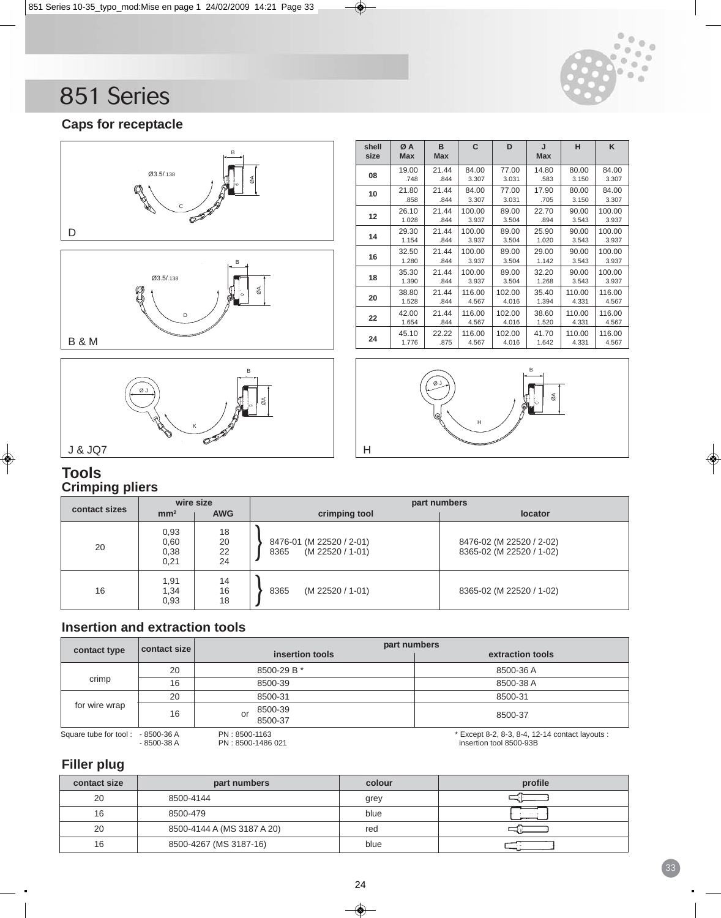![](_page_23_Picture_0.jpeg)

# **Caps for receptacle**

![](_page_23_Figure_3.jpeg)

![](_page_23_Figure_4.jpeg)

| shell<br>size | ØA<br><b>Max</b> | в<br><b>Max</b> | C      | D      | J<br><b>Max</b> | н      | K      |
|---------------|------------------|-----------------|--------|--------|-----------------|--------|--------|
| 08            | 19.00            | 21.44           | 84.00  | 77.00  | 14.80           | 80.00  | 84.00  |
|               | .748             | .844            | 3.307  | 3.031  | .583            | 3.150  | 3.307  |
| 10            | 21.80            | 21.44           | 84.00  | 77.00  | 17.90           | 80.00  | 84.00  |
|               | .858             | .844            | 3.307  | 3.031  | .705            | 3.150  | 3.307  |
|               | 26.10            | 21.44           | 100.00 | 89.00  | 22.70           | 90.00  | 100.00 |
| 12            | 1.028            | .844            | 3.937  | 3.504  | .894            | 3.543  | 3.937  |
|               | 29.30            | 21.44           | 100.00 | 89.00  | 25.90           | 90.00  | 100.00 |
| 14            | 1.154            | .844            | 3.937  | 3.504  | 1.020           | 3.543  | 3.937  |
|               | 32.50            | 21.44           | 100.00 | 89.00  | 29.00           | 90.00  | 100.00 |
| 16            | 1.280            | .844            | 3.937  | 3.504  | 1.142           | 3.543  | 3.937  |
|               | 35.30            | 21.44           | 100.00 | 89.00  | 32.20           | 90.00  | 100.00 |
| 18            | 1.390            | .844            | 3.937  | 3.504  | 1.268           | 3.543  | 3.937  |
|               | 38.80            | 21.44           | 116.00 | 102.00 | 35.40           | 110.00 | 116.00 |
| 20            | 1.528            | .844            | 4.567  | 4.016  | 1.394           | 4.331  | 4.567  |
|               | 42.00            | 21.44           | 116.00 | 102.00 | 38.60           | 110.00 | 116.00 |
| 22            | 1.654            | .844            | 4.567  | 4.016  | 1.520           | 4.331  | 4.567  |
|               | 45.10            | 22.22           | 116.00 | 102.00 | 41.70           | 110.00 | 116.00 |
| 24            | 1.776            | .875            | 4.567  | 4.016  | 1.642           | 4.331  | 4.567  |

![](_page_23_Figure_6.jpeg)

## **Tools Crimping pliers**

|               | wire size                    |                      | part numbers                                         |                                                      |  |  |  |  |  |
|---------------|------------------------------|----------------------|------------------------------------------------------|------------------------------------------------------|--|--|--|--|--|
| contact sizes | mm <sup>2</sup>              | <b>AWG</b>           | crimping tool                                        | locator                                              |  |  |  |  |  |
| 20            | 0.93<br>0,60<br>0,38<br>0,21 | 18<br>20<br>22<br>24 | 8476-01 (M 22520 / 2-01)<br>(M 22520 / 1-01)<br>8365 | 8476-02 (M 22520 / 2-02)<br>8365-02 (M 22520 / 1-02) |  |  |  |  |  |
| 16            | 1,91<br>1,34<br>0,93         | 14<br>16<br>18       | (M 22520 / 1-01)<br>8365                             | 8365-02 (M 22520 / 1-02)                             |  |  |  |  |  |

# **Insertion and extraction tools**

|                                   | contact size | part numbers                       |                                                                            |  |  |  |  |  |
|-----------------------------------|--------------|------------------------------------|----------------------------------------------------------------------------|--|--|--|--|--|
| contact type                      |              | insertion tools                    | extraction tools                                                           |  |  |  |  |  |
|                                   | 20           | 8500-29 B *                        | 8500-36 A                                                                  |  |  |  |  |  |
| crimp                             | 16           | 8500-39                            | 8500-38 A                                                                  |  |  |  |  |  |
|                                   | 20           | 8500-31                            | 8500-31                                                                    |  |  |  |  |  |
| for wire wrap                     | 16           | 8500-39<br>or<br>8500-37           | 8500-37                                                                    |  |  |  |  |  |
| Square tube for tool: - 8500-36 A | - 8500-38 A  | PN: 8500-1163<br>PN: 8500-1486 021 | * Except 8-2, 8-3, 8-4, 12-14 contact layouts :<br>insertion tool 8500-93B |  |  |  |  |  |

# **Filler plug**

| contact size | part numbers               | colour | profile |
|--------------|----------------------------|--------|---------|
| 20           | 8500-4144                  | grey   |         |
| 16           | 8500-479                   | blue   |         |
| 20           | 8500-4144 A (MS 3187 A 20) | red    |         |
| 16           | 8500-4267 (MS 3187-16)     | blue   |         |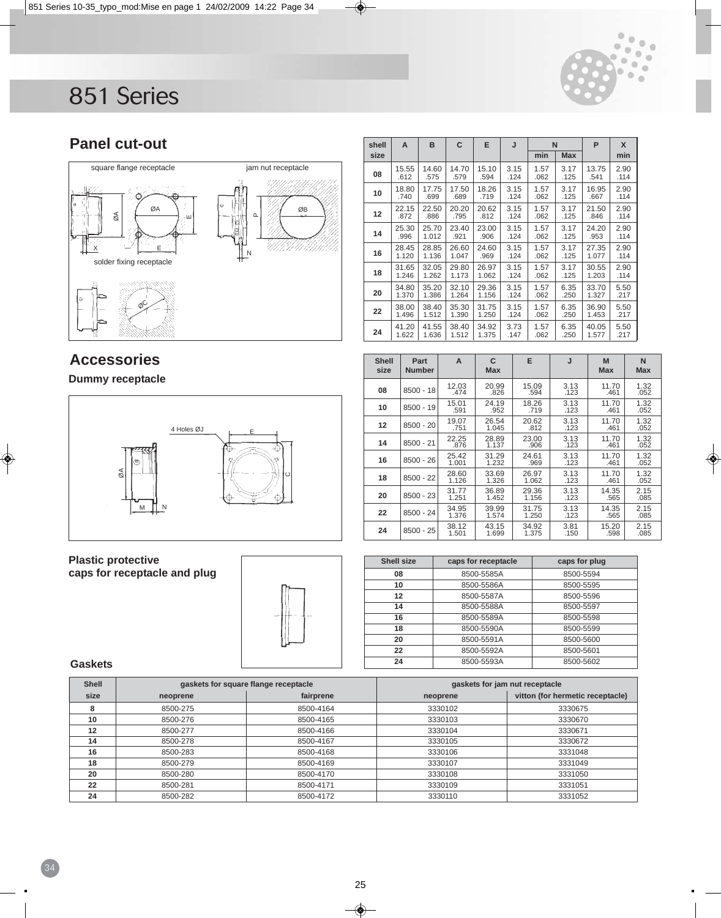![](_page_24_Picture_1.jpeg)

# **Panel cut-out**

![](_page_24_Figure_3.jpeg)

#### **Dummy receptacle**

![](_page_24_Figure_6.jpeg)

| <b>Plastic protective</b>    |  |
|------------------------------|--|
| caps for receptacle and plug |  |

![](_page_24_Picture_8.jpeg)

#### **Gaskets**

| <b>Shell</b><br>gaskets for square flange receptacle |          |           | gaskets for jam nut receptacle |                                  |  |
|------------------------------------------------------|----------|-----------|--------------------------------|----------------------------------|--|
| size                                                 | neoprene | fairprene | neoprene                       | vitton (for hermetic receptacle) |  |
| 8                                                    | 8500-275 | 8500-4164 | 3330102                        | 3330675                          |  |
| 10                                                   | 8500-276 | 8500-4165 | 3330103                        | 3330670                          |  |
| 12                                                   | 8500-277 | 8500-4166 | 3330104                        | 3330671                          |  |
| 14                                                   | 8500-278 | 8500-4167 | 3330105                        | 3330672                          |  |
| 16                                                   | 8500-283 | 8500-4168 | 3330106                        | 3331048                          |  |
| 18                                                   | 8500-279 | 8500-4169 | 3330107                        | 3331049                          |  |
| 20                                                   | 8500-280 | 8500-4170 | 3330108                        | 3331050                          |  |
| 22                                                   | 8500-281 | 8500-4171 | 3330109                        | 3331051                          |  |
| 24                                                   | 8500-282 | 8500-4172 | 3330110                        | 3331052                          |  |
|                                                      |          |           |                                |                                  |  |

| shell | A              | B              | C              | E              | J            | N            |              | P              | X            |
|-------|----------------|----------------|----------------|----------------|--------------|--------------|--------------|----------------|--------------|
| size  |                |                |                |                |              | min          | <b>Max</b>   |                | min          |
| 08    | 15.55<br>.612  | 14.60<br>.575  | 14.70<br>.579  | 15.10<br>.594  | 3.15<br>.124 | 1.57<br>.062 | 3.17<br>.125 | 13.75<br>.541  | 2.90<br>.114 |
| 10    | 18.80<br>.740  | 17.75<br>.699  | 17.50<br>.689  | 18.26<br>.719  | 3.15<br>.124 | 1.57<br>.062 | 3.17<br>.125 | 16.95<br>.667  | 2.90<br>.114 |
| 12    | 22.15<br>.872  | 22.50<br>.886  | 20.20<br>.795  | 20.62<br>.812  | 3.15<br>.124 | 1.57<br>.062 | 3.17<br>.125 | 21.50<br>.846  | 2.90<br>.114 |
| 14    | 25.30<br>.996  | 25.70<br>1.012 | 23.40<br>.921  | 23.00<br>.906  | 3.15<br>.124 | 1.57<br>.062 | 3.17<br>.125 | 24.20<br>.953  | 2.90<br>.114 |
| 16    | 28.45<br>1.120 | 28.85<br>1.136 | 26.60<br>1.047 | 24.60<br>.969  | 3.15<br>.124 | 1.57<br>.062 | 3.17<br>.125 | 27.35<br>1.077 | 2.90<br>.114 |
| 18    | 31.65<br>1.246 | 32.05<br>1.262 | 29.80<br>1.173 | 26.97<br>1.062 | 3.15<br>.124 | 1.57<br>.062 | 3.17<br>.125 | 30.55<br>1.203 | 2.90<br>.114 |
| 20    | 34.80<br>1.370 | 35.20<br>1.386 | 32.10<br>1.264 | 29.36<br>1.156 | 3.15<br>.124 | 1.57<br>.062 | 6.35<br>.250 | 33.70<br>1.327 | 5.50<br>.217 |
| 22    | 38.00<br>1.496 | 38.40<br>1.512 | 35.30<br>1.390 | 31.75<br>1.250 | 3.15<br>.124 | 1.57<br>.062 | 6.35<br>.250 | 36.90<br>1.453 | 5.50<br>.217 |
| 24    | 41.20<br>1.622 | 41.55<br>1.636 | 38.40<br>1.512 | 34.92<br>1.375 | 3.73<br>.147 | 1.57<br>.062 | 6.35<br>.250 | 40.05<br>1.577 | 5.50<br>.217 |

| <b>Shell</b><br>size | Part<br><b>Number</b> | A              | C<br><b>Max</b> | E              | J            | M<br><b>Max</b> | N<br><b>Max</b> |
|----------------------|-----------------------|----------------|-----------------|----------------|--------------|-----------------|-----------------|
| 08                   | $8500 - 18$           | 12.03<br>.474  | 20.99<br>.826   | 15.09<br>.594  | 3.13<br>.123 | 11.70<br>.461   | 1.32<br>.052    |
| 10                   | $8500 - 19$           | 15.01<br>.591  | 24.19<br>.952   | 18.26<br>.719  | 3.13<br>.123 | 11.70<br>.461   | 1.32<br>.052    |
| 12                   | $8500 - 20$           | 19.07<br>.751  | 26.54<br>1.045  | 20.62<br>.812  | 3.13<br>.123 | 11.70<br>.461   | 1.32<br>.052    |
| 14                   | $8500 - 21$           | 22.25<br>.876  | 28.89<br>1.137  | 23.00<br>.906  | 3.13<br>.123 | 11.70<br>.461   | 1.32<br>.052    |
| 16                   | $8500 - 26$           | 25.42<br>1.001 | 31.29<br>1.232  | 24.61<br>.969  | 3.13<br>.123 | 11.70<br>.461   | 1.32<br>.052    |
| 18                   | $8500 - 22$           | 28.60<br>1.126 | 33.69<br>1.326  | 26.97<br>1.062 | 3.13<br>.123 | 11.70<br>.461   | 1.32<br>.052    |
| 20                   | $8500 - 23$           | 31.77<br>1.251 | 36.89<br>1.452  | 29.36<br>1.156 | 3.13<br>.123 | 14.35<br>.565   | 2.15<br>.085    |
| 22                   | $8500 - 24$           | 34.95<br>1.376 | 39.99<br>1.574  | 31.75<br>1.250 | 3.13<br>.123 | 14.35<br>.565   | 2.15<br>.085    |
| 24                   | $8500 - 25$           | 38.12<br>1.501 | 43.15<br>1.699  | 34.92<br>1.375 | 3.81<br>.150 | 15.20<br>.598   | 2.15<br>.085    |

| <b>Shell size</b> | caps for receptacle | caps for plug |
|-------------------|---------------------|---------------|
| 08                | 8500-5585A          | 8500-5594     |
| 10                | 8500-5586A          | 8500-5595     |
| 12                | 8500-5587A          | 8500-5596     |
| 14                | 8500-5588A          | 8500-5597     |
| 16                | 8500-5589A          | 8500-5598     |
| 18                | 8500-5590A          | 8500-5599     |
| 20                | 8500-5591A          | 8500-5600     |
| 22                | 8500-5592A          | 8500-5601     |
| 24                | 8500-5593A          | 8500-5602     |